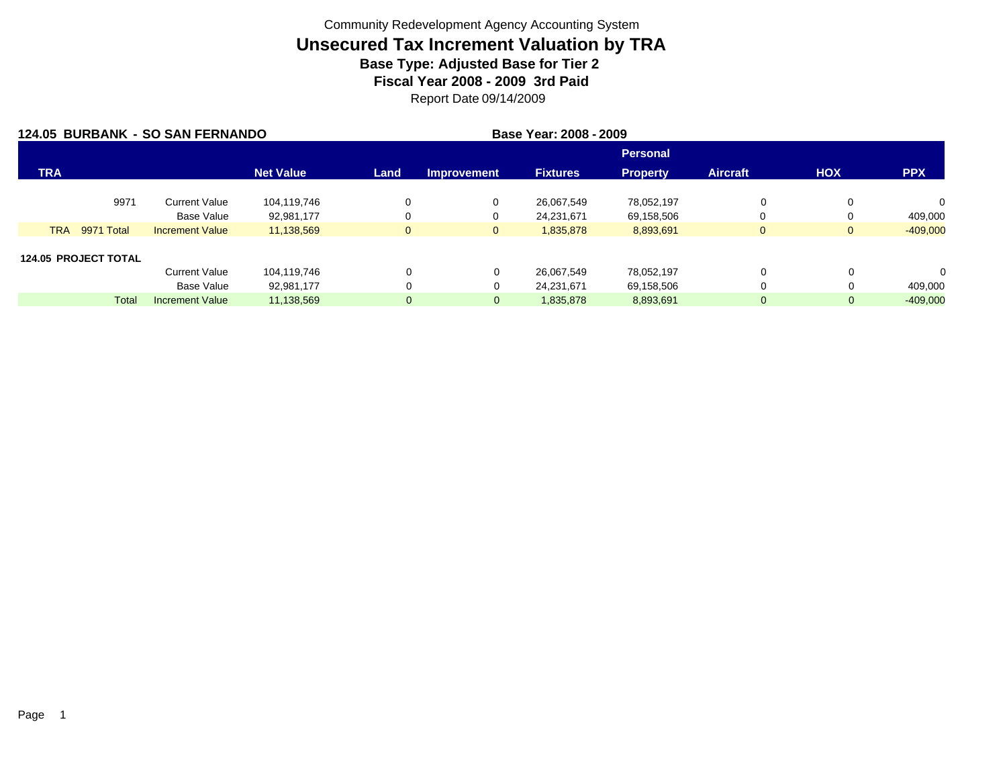| 124.05 BURBANK - SO SAN FERNANDO |                             |                        |                  |                |                    |                 |                 |                 |            |              |
|----------------------------------|-----------------------------|------------------------|------------------|----------------|--------------------|-----------------|-----------------|-----------------|------------|--------------|
|                                  |                             |                        |                  |                |                    |                 | <b>Personal</b> |                 |            |              |
| <b>TRA</b>                       |                             |                        | <b>Net Value</b> | Land           | <b>Improvement</b> | <b>Fixtures</b> | <b>Property</b> | <b>Aircraft</b> | <b>HOX</b> | <b>PPX</b>   |
|                                  | 9971                        | <b>Current Value</b>   | 104,119,746      |                | 0                  | 26.067.549      | 78,052,197      | 0               |            | $\mathbf{0}$ |
|                                  |                             | <b>Base Value</b>      | 92,981,177       |                | 0                  | 24,231,671      | 69,158,506      | 0               | $\Omega$   | 409,000      |
| <b>TRA</b>                       | 9971 Total                  | <b>Increment Value</b> | 11,138,569       | $\mathbf{0}$   | $\mathbf{0}$       | 1,835,878       | 8,893,691       | $\overline{0}$  | $\Omega$   | $-409,000$   |
|                                  | <b>124.05 PROJECT TOTAL</b> |                        |                  |                |                    |                 |                 |                 |            |              |
|                                  |                             | <b>Current Value</b>   | 104,119,746      | 0              | 0                  | 26,067,549      | 78,052,197      | $\Omega$        | $\Omega$   | 0            |
|                                  |                             | Base Value             | 92,981,177       | 0              | 0                  | 24,231,671      | 69,158,506      | 0               |            | 409,000      |
|                                  | <b>Total</b>                | <b>Increment Value</b> | 11,138,569       | $\overline{0}$ | $\mathbf{0}$       | 1,835,878       | 8,893,691       | $\overline{0}$  | 0          | $-409,000$   |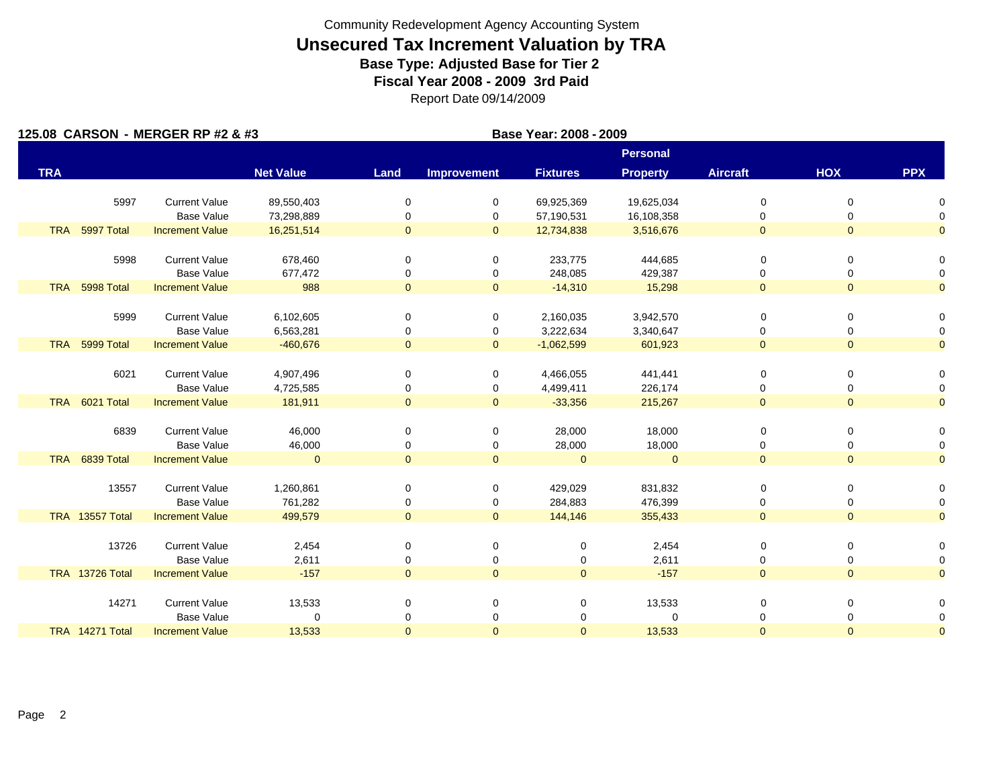|            |                 | 125.08 CARSON - MERGER RP #2 & #3           |                          |                     |                     | Base Year: 2008 - 2009 |                    |                     |                |                     |
|------------|-----------------|---------------------------------------------|--------------------------|---------------------|---------------------|------------------------|--------------------|---------------------|----------------|---------------------|
|            |                 |                                             |                          |                     |                     |                        | <b>Personal</b>    |                     |                |                     |
| <b>TRA</b> |                 |                                             | <b>Net Value</b>         | Land                | <b>Improvement</b>  | <b>Fixtures</b>        | <b>Property</b>    | <b>Aircraft</b>     | HOX            | <b>PPX</b>          |
|            | 5997            | <b>Current Value</b>                        | 89,550,403               | 0                   | 0                   | 69,925,369             | 19,625,034         | 0                   | 0              | n                   |
|            |                 | <b>Base Value</b>                           | 73,298,889               | 0                   | 0                   | 57,190,531             | 16,108,358         | 0                   | 0              | $\Omega$            |
| <b>TRA</b> | 5997 Total      | <b>Increment Value</b>                      | 16,251,514               | $\mathbf{0}$        | $\mathbf{0}$        | 12,734,838             | 3,516,676          | $\overline{0}$      | $\Omega$       | $\overline{0}$      |
|            |                 |                                             |                          |                     |                     |                        |                    |                     |                |                     |
|            | 5998            | <b>Current Value</b>                        | 678,460                  | 0                   | 0                   | 233,775                | 444,685            | $\mathbf 0$         | 0              | 0                   |
|            |                 | <b>Base Value</b>                           | 677,472                  | 0                   | 0                   | 248,085                | 429,387            | 0                   | 0              | 0                   |
|            | TRA 5998 Total  | <b>Increment Value</b>                      | 988                      | $\overline{0}$      | $\overline{0}$      | $-14,310$              | 15,298             | $\overline{0}$      | $\overline{0}$ | $\overline{0}$      |
|            |                 |                                             |                          |                     |                     |                        |                    |                     |                |                     |
|            | 5999            | <b>Current Value</b>                        | 6,102,605                | 0                   | 0                   | 2,160,035              | 3,942,570          | 0                   | 0              | $\Omega$            |
|            |                 | <b>Base Value</b>                           | 6,563,281                | 0                   | 0                   | 3,222,634              | 3,340,647          | 0                   | 0              | 0                   |
|            | TRA 5999 Total  | <b>Increment Value</b>                      | $-460,676$               | $\mathbf 0$         | $\mathbf{0}$        | $-1,062,599$           | 601,923            | $\overline{0}$      | $\overline{0}$ | $\overline{0}$      |
|            |                 |                                             |                          |                     |                     |                        |                    |                     |                |                     |
|            | 6021            | <b>Current Value</b>                        | 4,907,496                | 0                   | 0                   | 4,466,055              | 441,441            | 0                   | 0              | 0                   |
|            |                 | <b>Base Value</b>                           | 4,725,585                | 0                   | 0                   | 4,499,411              | 226,174            | 0                   | 0              | 0                   |
|            | TRA 6021 Total  | <b>Increment Value</b>                      | 181,911                  | $\mathbf{0}$        | $\overline{0}$      | $-33,356$              | 215,267            | $\mathbf{0}$        | $\overline{0}$ | $\overline{0}$      |
|            | 6839            | <b>Current Value</b>                        |                          | 0                   |                     |                        |                    |                     | $\Omega$       | 0                   |
|            |                 |                                             | 46,000                   |                     | 0                   | 28,000                 | 18,000             | 0                   |                |                     |
|            | TRA 6839 Total  | <b>Base Value</b><br><b>Increment Value</b> | 46,000<br>$\overline{0}$ | 0<br>$\overline{0}$ | 0<br>$\overline{0}$ | 28,000<br>$\Omega$     | 18,000<br>$\Omega$ | 0<br>$\overline{0}$ | 0<br>$\Omega$  | 0<br>$\overline{0}$ |
|            |                 |                                             |                          |                     |                     |                        |                    |                     |                |                     |
|            | 13557           | <b>Current Value</b>                        | 1,260,861                | $\mathbf 0$         | 0                   | 429,029                | 831,832            | 0                   | 0              | 0                   |
|            |                 | <b>Base Value</b>                           | 761,282                  | 0                   | 0                   | 284,883                | 476,399            | 0                   | 0              | 0                   |
|            | TRA 13557 Total | <b>Increment Value</b>                      | 499,579                  | $\mathbf{0}$        | $\overline{0}$      | 144,146                | 355,433            | $\overline{0}$      | $\overline{0}$ | $\overline{0}$      |
|            |                 |                                             |                          |                     |                     |                        |                    |                     |                |                     |
|            | 13726           | <b>Current Value</b>                        | 2,454                    | 0                   | 0                   | 0                      | 2,454              | 0                   | 0              | 0                   |
|            |                 | <b>Base Value</b>                           | 2,611                    | 0                   | 0                   | 0                      | 2,611              | 0                   | 0              | 0                   |
|            | TRA 13726 Total | <b>Increment Value</b>                      | $-157$                   | $\overline{0}$      | $\overline{0}$      | $\mathbf{0}$           | $-157$             | $\overline{0}$      | $\overline{0}$ | $\overline{0}$      |
|            |                 |                                             |                          |                     |                     |                        |                    |                     |                |                     |
|            | 14271           | <b>Current Value</b>                        | 13,533                   | 0                   | 0                   | 0                      | 13,533             | 0                   | 0              | 0                   |
|            |                 | <b>Base Value</b>                           | $\mathbf 0$              | 0                   | 0                   | 0                      | $\Omega$           | 0                   | 0              | 0                   |
|            | TRA 14271 Total | <b>Increment Value</b>                      | 13,533                   | $\mathbf{0}$        | $\mathbf{0}$        | $\mathbf{0}$           | 13,533             | $\Omega$            | $\Omega$       | $\overline{0}$      |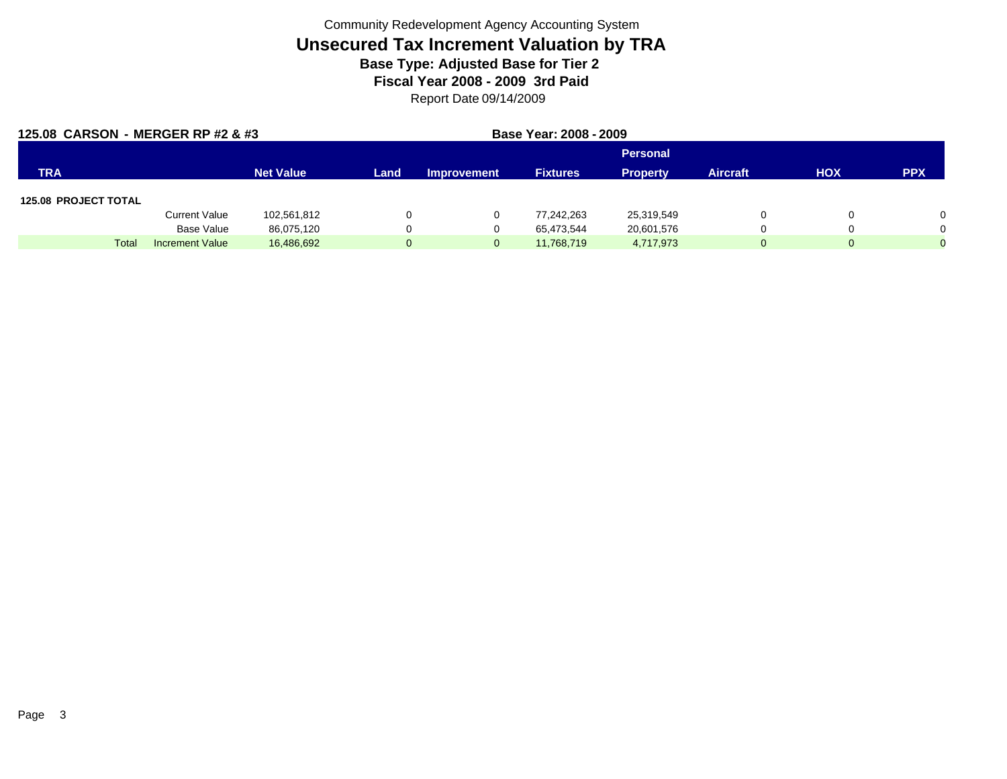| 125.08 CARSON - MERGER RP #2 & #3 |                        | Base Year: 2008 - 2009 |                |                    |                 |                 |                 |            |            |
|-----------------------------------|------------------------|------------------------|----------------|--------------------|-----------------|-----------------|-----------------|------------|------------|
|                                   |                        |                        |                |                    |                 | <b>Personal</b> |                 |            |            |
| <b>TRA</b>                        |                        | <b>Net Value</b>       | Land           | <b>Improvement</b> | <b>Fixtures</b> | <b>Property</b> | <b>Aircraft</b> | <b>HOX</b> | <b>PPX</b> |
| <b>125.08 PROJECT TOTAL</b>       |                        |                        |                |                    |                 |                 |                 |            |            |
|                                   | <b>Current Value</b>   | 102,561,812            | $\Omega$       | $\mathbf{0}$       | 77.242.263      | 25,319,549      | 0               |            | $\Omega$   |
|                                   | Base Value             | 86,075,120             | $\Omega$       | $\mathbf{0}$       | 65.473.544      | 20,601,576      | 0               |            | $\Omega$   |
| Tota                              | <b>Increment Value</b> | 16,486,692             | $\overline{0}$ | $\overline{0}$     | 11,768,719      | 4,717,973       | $\mathbf{0}$    | $\Omega$   | $\Omega$   |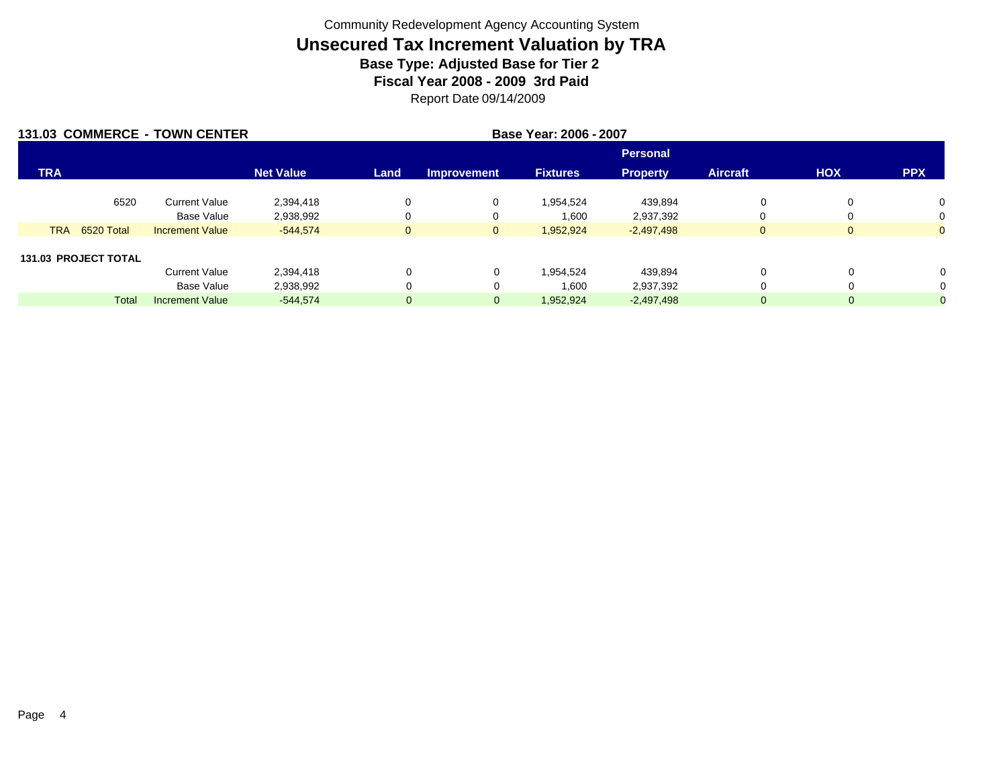|            |                             | 131.03 COMMERCE - TOWN CENTER |                  | Base Year: 2006 - 2007 |                    |                 |                 |                 |              |                |  |
|------------|-----------------------------|-------------------------------|------------------|------------------------|--------------------|-----------------|-----------------|-----------------|--------------|----------------|--|
|            |                             |                               |                  |                        |                    |                 | <b>Personal</b> |                 |              |                |  |
| <b>TRA</b> |                             |                               | <b>Net Value</b> | Land                   | <b>Improvement</b> | <b>Fixtures</b> | <b>Property</b> | <b>Aircraft</b> | <b>HOX</b>   | <b>PPX</b>     |  |
|            | 6520                        | <b>Current Value</b>          | 2,394,418        | 0                      | 0                  | 1,954,524       | 439,894         | 0               |              | 0              |  |
|            |                             | <b>Base Value</b>             | 2,938,992        | 0                      | 0                  | 1,600           | 2,937,392       | 0               |              | 0              |  |
|            | <b>TRA</b><br>6520 Total    | <b>Increment Value</b>        | $-544,574$       | $\mathbf{0}$           | $\mathbf{0}$       | 1,952,924       | $-2,497,498$    | $\overline{0}$  | $\mathbf{0}$ | $\overline{0}$ |  |
|            |                             |                               |                  |                        |                    |                 |                 |                 |              |                |  |
|            | <b>131.03 PROJECT TOTAL</b> |                               |                  |                        |                    |                 |                 |                 |              |                |  |
|            |                             | <b>Current Value</b>          | 2,394,418        | 0                      | 0                  | 1.954.524       | 439,894         | 0               |              | $\Omega$       |  |
|            |                             | <b>Base Value</b>             | 2,938,992        | 0                      | 0                  | 1,600           | 2,937,392       | 0               |              |                |  |
|            | Total                       | <b>Increment Value</b>        | $-544,574$       | $\overline{0}$         | $\overline{0}$     | 1,952,924       | $-2,497,498$    | $\overline{0}$  |              |                |  |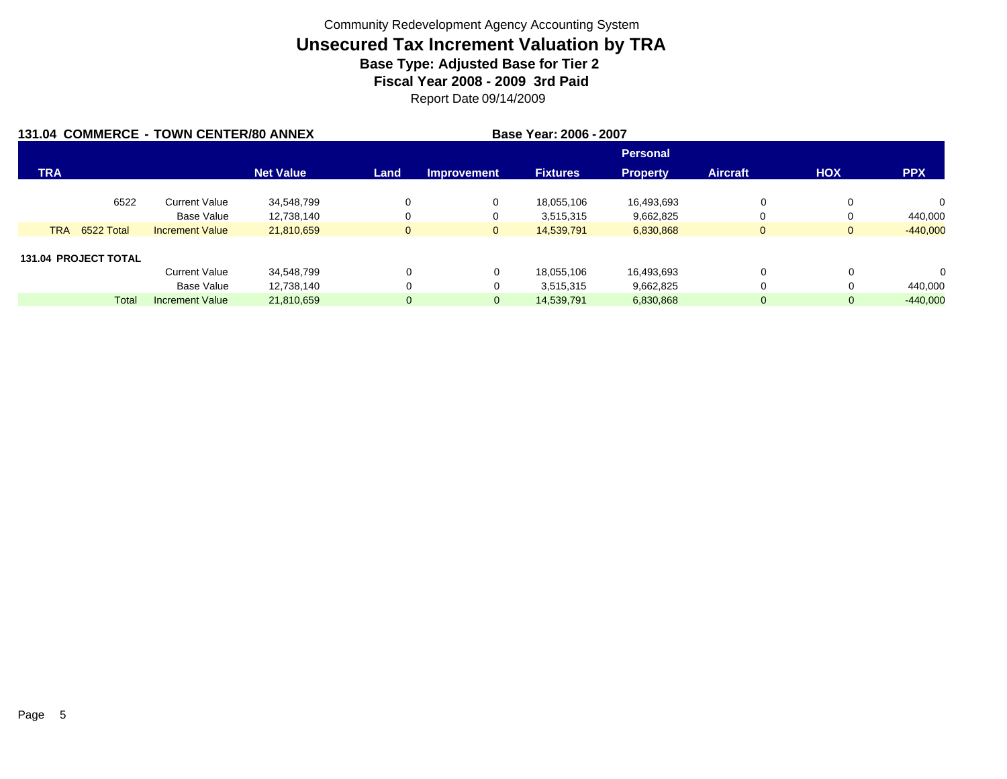|            |                             | 131.04 COMMERCE - TOWN CENTER/80 ANNEX |                  | Base Year: 2006 - 2007 |                    |                 |                 |                 |              |            |
|------------|-----------------------------|----------------------------------------|------------------|------------------------|--------------------|-----------------|-----------------|-----------------|--------------|------------|
|            |                             |                                        |                  |                        |                    |                 | <b>Personal</b> |                 |              |            |
| <b>TRA</b> |                             |                                        | <b>Net Value</b> | Land                   | <b>Improvement</b> | <b>Fixtures</b> | <b>Property</b> | <b>Aircraft</b> | <b>HOX</b>   | <b>PPX</b> |
|            | 6522                        | <b>Current Value</b>                   | 34.548.799       | 0                      | 0                  | 18.055.106      | 16,493,693      | 0               | 0            | 0          |
|            |                             | Base Value                             | 12,738,140       | 0                      | 0                  | 3,515,315       | 9,662,825       |                 | 0            | 440,000    |
| <b>TRA</b> | 6522 Total                  | <b>Increment Value</b>                 | 21,810,659       | $\overline{0}$         | $\mathbf{0}$       | 14,539,791      | 6,830,868       | $\mathbf{0}$    | $\mathbf{0}$ | $-440,000$ |
|            | <b>131.04 PROJECT TOTAL</b> |                                        |                  |                        |                    |                 |                 |                 |              |            |
|            |                             | <b>Current Value</b>                   | 34,548,799       | 0                      | 0                  | 18.055.106      | 16,493,693      | 0               |              | $\Omega$   |
|            |                             | Base Value                             | 12,738,140       | 0                      | 0                  | 3,515,315       | 9,662,825       | 0               |              | 440,000    |
|            | <b>Total</b>                | <b>Increment Value</b>                 | 21,810,659       | $\overline{0}$         | $\mathbf 0$        | 14,539,791      | 6,830,868       | $\overline{0}$  | 0            | $-440,000$ |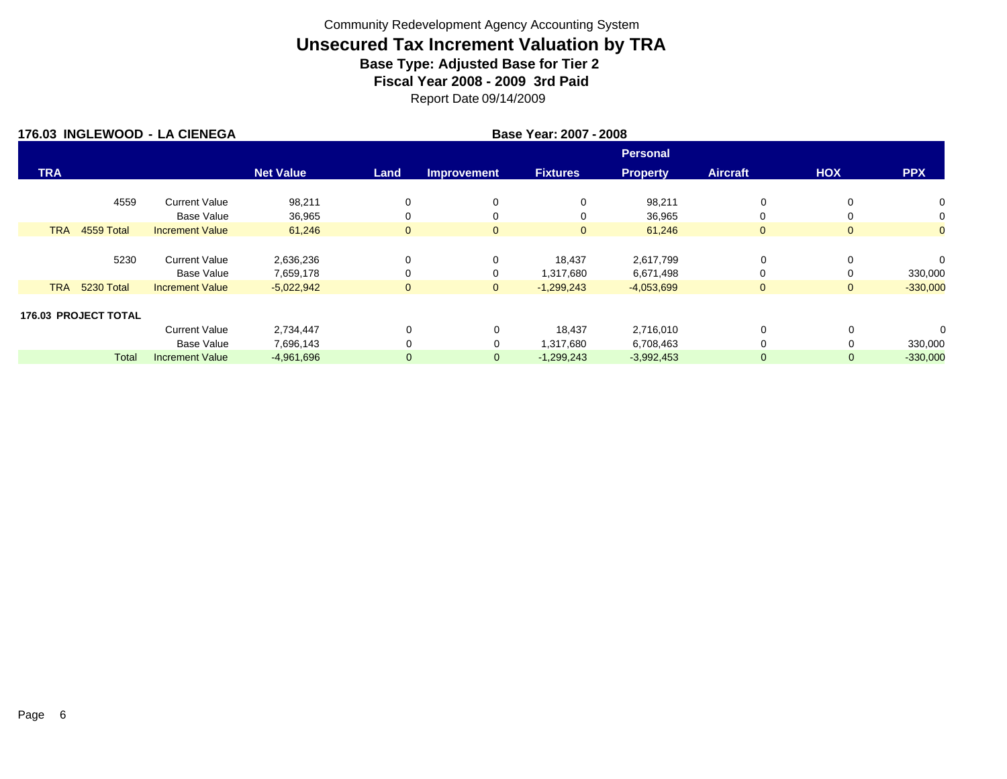|            |                             | 176.03 INGLEWOOD - LA CIENEGA | Base Year: 2007 - 2008 |              |                    |                 |                 |                 |                |                |  |  |
|------------|-----------------------------|-------------------------------|------------------------|--------------|--------------------|-----------------|-----------------|-----------------|----------------|----------------|--|--|
|            |                             |                               |                        |              |                    |                 | <b>Personal</b> |                 |                |                |  |  |
| <b>TRA</b> |                             |                               | <b>Net Value</b>       | Land         | <b>Improvement</b> | <b>Fixtures</b> | <b>Property</b> | <b>Aircraft</b> | HOX            | <b>PPX</b>     |  |  |
|            | 4559                        | <b>Current Value</b>          | 98,211                 | 0            | 0                  | 0               | 98,211          | 0               |                | $\mathbf{0}$   |  |  |
|            |                             | Base Value                    | 36,965                 | 0            | 0                  | 0               | 36,965          | 0               |                | 0              |  |  |
| <b>TRA</b> | 4559 Total                  | <b>Increment Value</b>        | 61,246                 | $\mathbf{0}$ | $\mathbf{0}$       | $\mathbf{0}$    | 61,246          | $\mathbf{0}$    | $\mathbf{0}$   | $\overline{0}$ |  |  |
|            |                             |                               |                        |              |                    |                 |                 |                 |                |                |  |  |
|            | 5230                        | <b>Current Value</b>          | 2,636,236              | 0            | 0                  | 18,437          | 2,617,799       | 0               |                | $\Omega$       |  |  |
|            |                             | <b>Base Value</b>             | 7,659,178              | 0            | 0                  | 1,317,680       | 6,671,498       | 0               |                | 330,000        |  |  |
| <b>TRA</b> | 5230 Total                  | <b>Increment Value</b>        | $-5,022,942$           | $\mathbf{0}$ | $\mathbf{0}$       | $-1,299,243$    | $-4,053,699$    | $\mathbf{0}$    | $\overline{0}$ | $-330,000$     |  |  |
|            |                             |                               |                        |              |                    |                 |                 |                 |                |                |  |  |
|            | <b>176.03 PROJECT TOTAL</b> |                               |                        |              |                    |                 |                 |                 |                |                |  |  |
|            |                             | <b>Current Value</b>          | 2,734,447              | $\mathbf 0$  | $\mathbf 0$        | 18,437          | 2,716,010       | 0               | $\Omega$       | 0              |  |  |
|            |                             | <b>Base Value</b>             | 7,696,143              | $\Omega$     | 0                  | 1,317,680       | 6,708,463       | 0               |                | 330,000        |  |  |
|            | <b>Total</b>                | <b>Increment Value</b>        | $-4,961,696$           | $\mathbf 0$  | $\mathbf 0$        | $-1,299,243$    | $-3,992,453$    | $\mathbf{0}$    | $\Omega$       | $-330,000$     |  |  |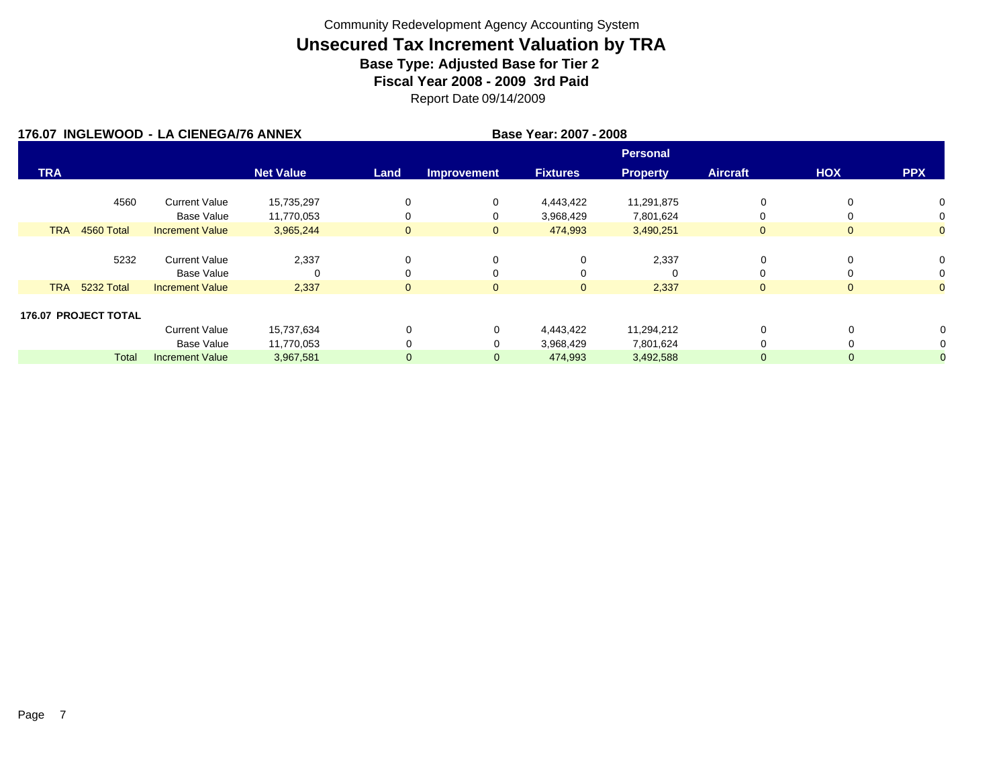| 176.07 INGLEWOOD - LA CIENEGA/76 ANNEX |                             |                        |                  |                | Base Year: 2007 - 2008 |                 |                 |                 |              |                |
|----------------------------------------|-----------------------------|------------------------|------------------|----------------|------------------------|-----------------|-----------------|-----------------|--------------|----------------|
|                                        |                             |                        |                  |                |                        |                 | <b>Personal</b> |                 |              |                |
| <b>TRA</b>                             |                             |                        | <b>Net Value</b> | Land           | <b>Improvement</b>     | <b>Fixtures</b> | <b>Property</b> | <b>Aircraft</b> | <b>HOX</b>   | <b>PPX</b>     |
|                                        | 4560                        | <b>Current Value</b>   | 15,735,297       | 0              | 0                      | 4,443,422       | 11,291,875      | 0               | 0            | 0              |
|                                        |                             | <b>Base Value</b>      | 11,770,053       | 0              | 0                      | 3,968,429       | 7,801,624       | 0               |              | 0              |
| <b>TRA</b>                             | 4560 Total                  | <b>Increment Value</b> | 3,965,244        | $\mathbf{0}$   | $\mathbf{0}$           | 474,993         | 3,490,251       | $\overline{0}$  | $\mathbf{0}$ | $\overline{0}$ |
|                                        |                             |                        |                  |                |                        |                 |                 |                 |              |                |
|                                        | 5232                        | <b>Current Value</b>   | 2,337            | 0              | 0                      | 0               | 2,337           | 0               | 0            | 0              |
|                                        |                             | <b>Base Value</b>      | 0                | $\Omega$       | 0                      | 0               |                 | 0               |              | 0              |
| <b>TRA</b>                             | 5232 Total                  | <b>Increment Value</b> | 2,337            | $\mathbf{0}$   | $\mathbf{0}$           | $\mathbf{0}$    | 2,337           | $\overline{0}$  | $\mathbf{0}$ | $\overline{0}$ |
|                                        |                             |                        |                  |                |                        |                 |                 |                 |              |                |
|                                        | <b>176.07 PROJECT TOTAL</b> |                        |                  |                |                        |                 |                 |                 |              |                |
|                                        |                             | <b>Current Value</b>   | 15,737,634       | 0              | 0                      | 4,443,422       | 11,294,212      | 0               |              |                |
|                                        |                             | Base Value             | 11,770,053       |                | 0                      | 3,968,429       | 7,801,624       | 0               |              |                |
|                                        | Total                       | <b>Increment Value</b> | 3,967,581        | $\overline{0}$ | $\mathbf{0}$           | 474,993         | 3,492,588       | $\overline{0}$  | 0            |                |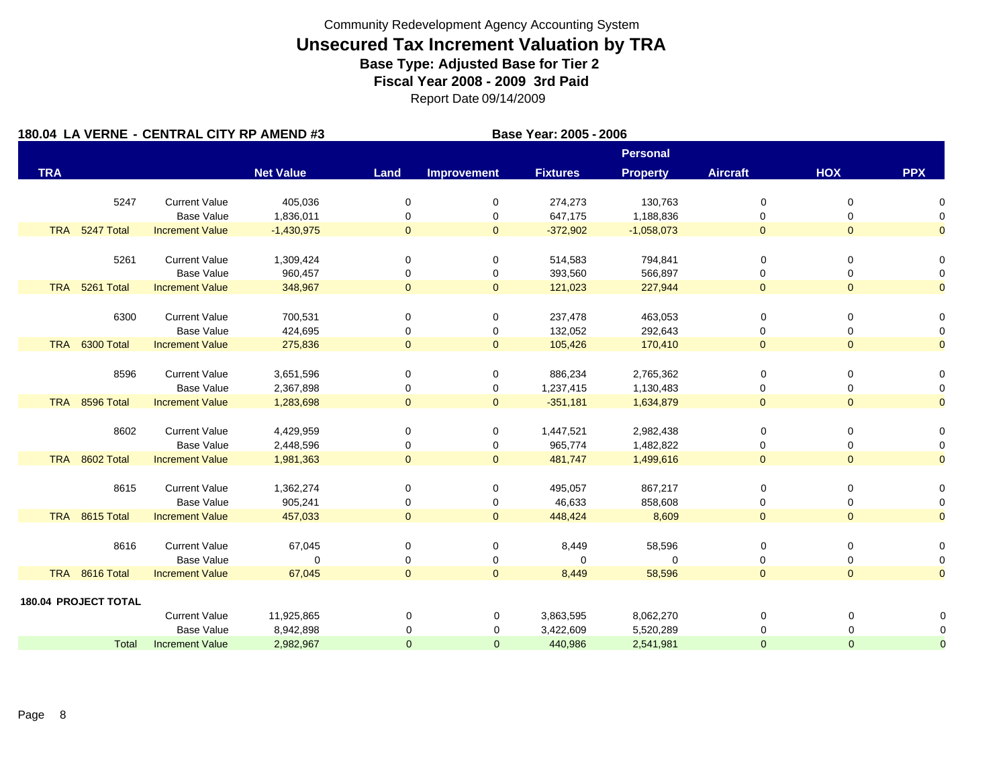|            |                             | 180.04 LA VERNE - CENTRAL CITY RP AMEND #3 |                    | Base Year: 2005 - 2006 |                     |                   |                  |                     |                     |                     |
|------------|-----------------------------|--------------------------------------------|--------------------|------------------------|---------------------|-------------------|------------------|---------------------|---------------------|---------------------|
|            |                             |                                            |                    |                        |                     |                   | <b>Personal</b>  |                     |                     |                     |
| <b>TRA</b> |                             |                                            | <b>Net Value</b>   | Land                   | <b>Improvement</b>  | <b>Fixtures</b>   | <b>Property</b>  | <b>Aircraft</b>     | HOX                 | <b>PPX</b>          |
|            | 5247                        | <b>Current Value</b>                       | 405,036            | 0                      | 0                   | 274,273           | 130,763          | 0                   | 0                   | 0                   |
|            |                             | <b>Base Value</b>                          | 1,836,011          | 0                      | 0                   | 647,175           | 1,188,836        | 0                   | 0                   | 0                   |
| <b>TRA</b> | 5247 Total                  | <b>Increment Value</b>                     | $-1,430,975$       | $\overline{0}$         | $\mathbf{0}$        | $-372,902$        | $-1,058,073$     | $\mathbf{0}$        | $\overline{0}$      | $\overline{0}$      |
|            | 5261                        | <b>Current Value</b>                       | 1,309,424          | $\mathbf 0$            | 0                   | 514,583           | 794,841          | $\mathbf 0$         | 0                   | 0                   |
|            |                             | <b>Base Value</b>                          | 960,457            | 0                      | 0                   | 393,560           | 566,897          | 0                   | 0                   | 0                   |
| <b>TRA</b> | 5261 Total                  | <b>Increment Value</b>                     | 348,967            | $\overline{0}$         | $\overline{0}$      | 121,023           | 227,944          | $\overline{0}$      | $\mathbf{0}$        | $\overline{0}$      |
|            |                             |                                            |                    |                        |                     |                   |                  |                     |                     |                     |
|            | 6300                        | <b>Current Value</b>                       | 700,531            | 0                      | 0                   | 237,478           | 463,053          | 0                   | 0                   | 0                   |
|            |                             | <b>Base Value</b>                          | 424,695            | 0                      | 0                   | 132,052           | 292,643          | 0                   | 0                   | 0                   |
|            | TRA 6300 Total              | <b>Increment Value</b>                     | 275,836            | $\overline{0}$         | $\overline{0}$      | 105,426           | 170,410          | $\overline{0}$      | $\overline{0}$      | $\overline{0}$      |
|            |                             |                                            |                    |                        |                     |                   |                  |                     |                     |                     |
|            | 8596                        | <b>Current Value</b>                       | 3,651,596          | 0                      | 0                   | 886,234           | 2,765,362        | 0                   | 0                   | 0                   |
|            |                             | Base Value                                 | 2,367,898          | 0                      | 0                   | 1,237,415         | 1,130,483        | 0                   | 0                   | 0                   |
|            | TRA 8596 Total              | <b>Increment Value</b>                     | 1,283,698          | $\mathbf{0}$           | $\overline{0}$      | $-351,181$        | 1,634,879        | $\overline{0}$      | $\overline{0}$      | $\overline{0}$      |
|            | 8602                        | <b>Current Value</b>                       | 4,429,959          | 0                      | 0                   | 1,447,521         | 2,982,438        | 0                   | 0                   | 0                   |
|            |                             | <b>Base Value</b>                          | 2,448,596          | 0                      | 0                   | 965,774           | 1,482,822        | 0                   | 0                   | 0                   |
|            | TRA 8602 Total              | <b>Increment Value</b>                     | 1,981,363          | $\overline{0}$         | $\mathbf{0}$        | 481,747           | 1,499,616        | $\overline{0}$      | $\overline{0}$      | $\overline{0}$      |
|            |                             |                                            |                    |                        |                     |                   |                  |                     |                     |                     |
|            | 8615                        | <b>Current Value</b><br><b>Base Value</b>  | 1,362,274          | 0                      | 0                   | 495,057           | 867,217          | 0                   | 0                   | 0                   |
|            | TRA 8615 Total              | <b>Increment Value</b>                     | 905,241<br>457,033 | 0<br>$\overline{0}$    | 0<br>$\overline{0}$ | 46,633<br>448,424 | 858,608<br>8,609 | 0<br>$\overline{0}$ | 0<br>$\overline{0}$ | 0<br>$\overline{0}$ |
|            |                             |                                            |                    |                        |                     |                   |                  |                     |                     |                     |
|            | 8616                        | <b>Current Value</b>                       | 67,045             | 0                      | 0                   | 8,449             | 58,596           | 0                   | 0                   | $\Omega$            |
|            |                             | <b>Base Value</b>                          | $\mathbf 0$        | 0                      | 0                   | 0                 | 0                | 0                   | 0                   | 0                   |
|            | TRA 8616 Total              | <b>Increment Value</b>                     | 67,045             | $\mathbf{0}$           | $\mathbf{0}$        | 8,449             | 58,596           | $\overline{0}$      | $\overline{0}$      | $\overline{0}$      |
|            | <b>180.04 PROJECT TOTAL</b> |                                            |                    |                        |                     |                   |                  |                     |                     |                     |
|            |                             | <b>Current Value</b>                       | 11,925,865         | 0                      | 0                   | 3,863,595         | 8,062,270        | 0                   | 0                   | 0                   |
|            |                             | <b>Base Value</b>                          | 8,942,898          | 0                      | 0                   | 3,422,609         | 5,520,289        | 0                   | 0                   | $\mathbf 0$         |
|            | <b>Total</b>                | <b>Increment Value</b>                     | 2,982,967          | $\overline{0}$         | $\mathbf{0}$        | 440,986           | 2,541,981        | $\overline{0}$      | $\overline{0}$      | $\mathbf{0}$        |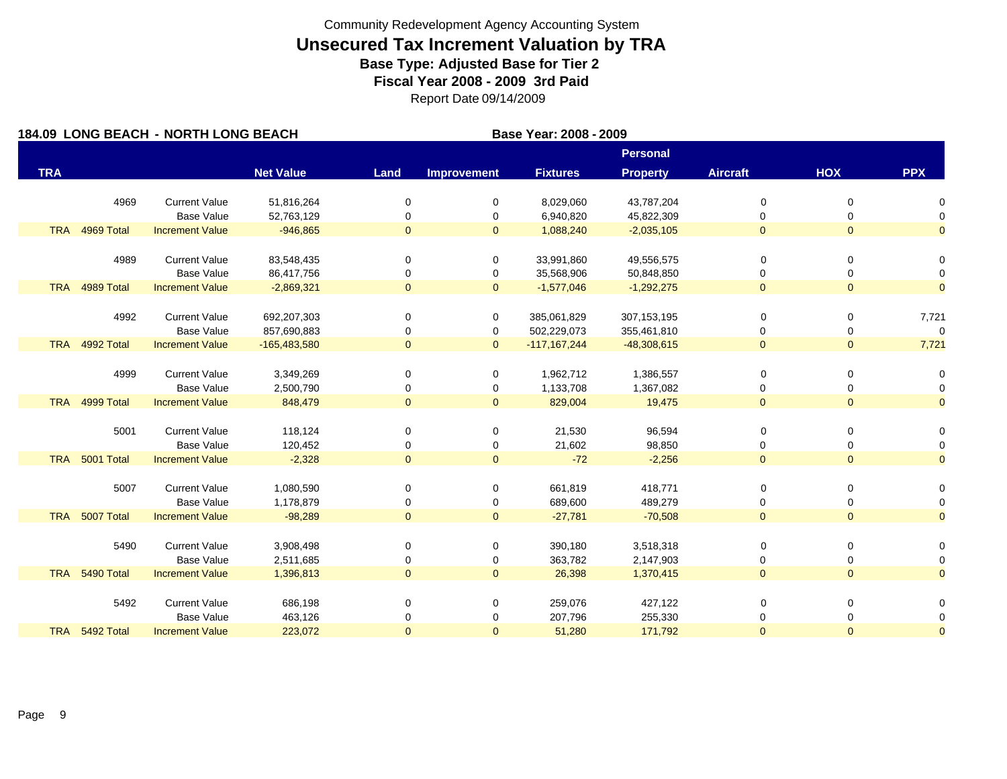|            |                | 184.09 LONG BEACH - NORTH LONG BEACH |                  | Base Year: 2008 - 2009 |                    |                 |                 |                 |                |                |
|------------|----------------|--------------------------------------|------------------|------------------------|--------------------|-----------------|-----------------|-----------------|----------------|----------------|
|            |                |                                      |                  |                        |                    |                 | <b>Personal</b> |                 |                |                |
| <b>TRA</b> |                |                                      | <b>Net Value</b> | Land                   | <b>Improvement</b> | <b>Fixtures</b> | <b>Property</b> | <b>Aircraft</b> | HOX            | <b>PPX</b>     |
|            | 4969           | <b>Current Value</b>                 | 51,816,264       | 0                      | 0                  | 8,029,060       | 43,787,204      | 0               | 0              | 0              |
|            |                | <b>Base Value</b>                    | 52,763,129       | 0                      | 0                  | 6,940,820       | 45,822,309      | 0               | 0              | 0              |
| <b>TRA</b> | 4969 Total     | <b>Increment Value</b>               | $-946,865$       | $\overline{0}$         | $\mathbf{0}$       | 1,088,240       | $-2,035,105$    | $\mathbf{0}$    | $\overline{0}$ | $\overline{0}$ |
|            |                |                                      |                  |                        |                    |                 |                 |                 |                |                |
|            | 4989           | <b>Current Value</b>                 | 83,548,435       | 0                      | 0                  | 33,991,860      | 49,556,575      | 0               | 0              | 0              |
|            |                | <b>Base Value</b>                    | 86,417,756       | $\mathbf 0$            | 0                  | 35,568,906      | 50,848,850      | 0               | 0              | 0              |
|            | TRA 4989 Total | <b>Increment Value</b>               | $-2,869,321$     | $\overline{0}$         | $\overline{0}$     | $-1,577,046$    | $-1,292,275$    | $\overline{0}$  | $\overline{0}$ | $\overline{0}$ |
|            | 4992           | <b>Current Value</b>                 | 692,207,303      | 0                      | 0                  | 385,061,829     | 307, 153, 195   | 0               | 0              | 7,721          |
|            |                | <b>Base Value</b>                    | 857,690,883      | 0                      | 0                  | 502,229,073     | 355,461,810     | 0               | 0              | $\mathbf 0$    |
|            | TRA 4992 Total | <b>Increment Value</b>               | $-165,483,580$   | $\overline{0}$         | $\overline{0}$     | $-117,167,244$  | $-48,308,615$   | $\mathbf{0}$    | $\overline{0}$ | 7,721          |
|            |                |                                      |                  |                        |                    |                 |                 |                 |                |                |
|            | 4999           | <b>Current Value</b>                 | 3,349,269        | 0                      | 0                  | 1,962,712       | 1,386,557       | 0               | 0              | 0              |
|            |                | <b>Base Value</b>                    | 2,500,790        | 0                      | 0                  | 1,133,708       | 1,367,082       | 0               | 0              | 0              |
| <b>TRA</b> | 4999 Total     | <b>Increment Value</b>               | 848,479          | $\overline{0}$         | $\overline{0}$     | 829,004         | 19,475          | $\overline{0}$  | $\overline{0}$ | $\overline{0}$ |
|            | 5001           | <b>Current Value</b>                 | 118,124          | 0                      | 0                  | 21,530          | 96,594          | 0               | 0              | 0              |
|            |                | <b>Base Value</b>                    | 120,452          | 0                      | 0                  | 21,602          | 98,850          | 0               | 0              | 0              |
| <b>TRA</b> | 5001 Total     | <b>Increment Value</b>               | $-2,328$         | $\overline{0}$         | $\mathbf{0}$       | $-72$           | $-2,256$        | $\overline{0}$  | $\overline{0}$ | $\overline{0}$ |
|            |                |                                      |                  |                        |                    |                 |                 |                 |                |                |
|            | 5007           | <b>Current Value</b>                 | 1,080,590        | 0                      | 0                  | 661,819         | 418,771         | 0               | 0              | 0              |
|            |                | <b>Base Value</b>                    | 1,178,879        | 0                      | 0                  | 689,600         | 489,279         | 0               | 0              | 0              |
| <b>TRA</b> | 5007 Total     | <b>Increment Value</b>               | $-98,289$        | $\overline{0}$         | $\mathbf{0}$       | $-27,781$       | $-70,508$       | $\mathbf{0}$    | $\Omega$       | $\overline{0}$ |
|            | 5490           | <b>Current Value</b>                 | 3,908,498        | 0                      | 0                  | 390,180         | 3,518,318       | 0               | 0              | 0              |
|            |                | <b>Base Value</b>                    | 2,511,685        | 0                      | 0                  | 363,782         | 2,147,903       | 0               | 0              | 0              |
| <b>TRA</b> | 5490 Total     | <b>Increment Value</b>               | 1,396,813        | $\mathbf{0}$           | $\overline{0}$     | 26,398          | 1,370,415       | $\overline{0}$  | $\overline{0}$ | $\overline{0}$ |
|            |                |                                      |                  |                        |                    |                 |                 |                 |                |                |
|            | 5492           | <b>Current Value</b>                 | 686,198          | 0                      | 0                  | 259,076         | 427,122         | 0               | 0              | 0              |
|            |                | <b>Base Value</b>                    | 463,126          | 0                      | 0                  | 207,796         | 255,330         | 0               | 0              | 0              |
|            | TRA 5492 Total | <b>Increment Value</b>               | 223,072          | $\overline{0}$         | $\mathbf{0}$       | 51,280          | 171,792         | $\overline{0}$  | $\overline{0}$ | $\overline{0}$ |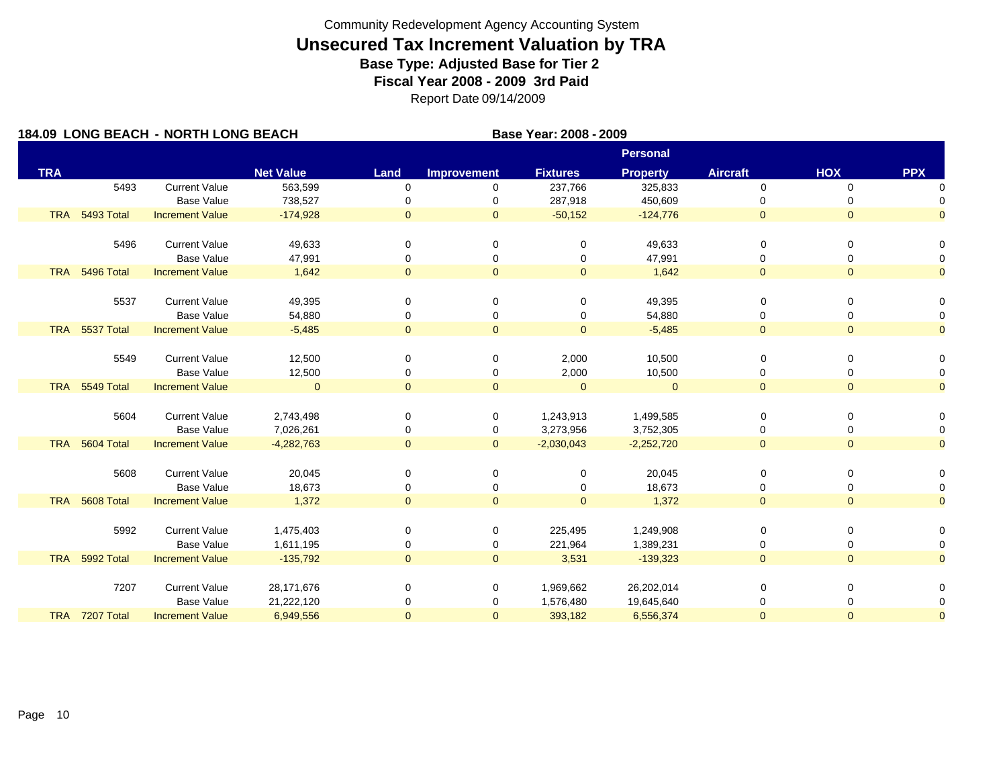| 184.09 LONG BEACH - NORTH LONG BEACH |                |                        |                  |                |                    | Base Year: 2008 - 2009 |                 |                 |                |                |
|--------------------------------------|----------------|------------------------|------------------|----------------|--------------------|------------------------|-----------------|-----------------|----------------|----------------|
|                                      |                |                        |                  |                |                    |                        | <b>Personal</b> |                 |                |                |
| <b>TRA</b>                           |                |                        | <b>Net Value</b> | Land           | <b>Improvement</b> | <b>Fixtures</b>        | <b>Property</b> | <b>Aircraft</b> | <b>HOX</b>     | <b>PPX</b>     |
|                                      | 5493           | <b>Current Value</b>   | 563,599          | $\mathbf 0$    | 0                  | 237,766                | 325,833         | $\mathbf 0$     | $\mathbf 0$    | n              |
|                                      |                | <b>Base Value</b>      | 738,527          |                | 0                  | 287,918                | 450,609         | 0               | 0              |                |
| <b>TRA</b>                           | 5493 Total     | <b>Increment Value</b> | $-174,928$       | $\mathbf{0}$   | $\mathbf{0}$       | $-50,152$              | $-124,776$      | $\overline{0}$  | $\overline{0}$ | $\Omega$       |
|                                      | 5496           | <b>Current Value</b>   | 49,633           | 0              | 0                  | 0                      | 49,633          | 0               | 0              | 0              |
|                                      |                | <b>Base Value</b>      | 47,991           | $\Omega$       | 0                  | 0                      | 47,991          | 0               | 0              | $\Omega$       |
|                                      | TRA 5496 Total | <b>Increment Value</b> | 1,642            | $\mathbf{0}$   | $\mathbf{0}$       | $\overline{0}$         | 1,642           | $\overline{0}$  | $\overline{0}$ | $\overline{0}$ |
|                                      | 5537           | <b>Current Value</b>   | 49,395           | $\Omega$       | 0                  | 0                      | 49,395          | 0               | 0              | 0              |
|                                      |                | <b>Base Value</b>      | 54,880           | 0              | 0                  | 0                      | 54,880          | 0               | 0              | 0              |
| <b>TRA</b>                           | 5537 Total     | <b>Increment Value</b> | $-5,485$         | $\overline{0}$ | $\overline{0}$     | $\overline{0}$         | $-5,485$        | $\overline{0}$  | $\overline{0}$ | $\overline{0}$ |
|                                      |                |                        |                  |                |                    |                        |                 |                 |                |                |
|                                      | 5549           | <b>Current Value</b>   | 12,500           | $\Omega$       | 0                  | 2,000                  | 10,500          | 0               | 0              | 0              |
|                                      |                | <b>Base Value</b>      | 12,500           |                | 0                  | 2,000                  | 10,500          | 0               | 0              | 0              |
| <b>TRA</b>                           | 5549 Total     | <b>Increment Value</b> | $\mathbf{0}$     | $\overline{0}$ | $\overline{0}$     | $\Omega$               | $\Omega$        | $\overline{0}$  | $\Omega$       | $\overline{0}$ |
|                                      |                |                        |                  |                |                    |                        |                 |                 |                |                |
|                                      | 5604           | <b>Current Value</b>   | 2,743,498        | 0              | 0                  | 1,243,913              | 1,499,585       | 0               | 0              | 0              |
|                                      |                | <b>Base Value</b>      | 7,026,261        | 0              | 0                  | 3,273,956              | 3,752,305       | 0               | 0              | $\Omega$       |
|                                      | TRA 5604 Total | <b>Increment Value</b> | $-4,282,763$     | $\mathbf{0}$   | $\overline{0}$     | $-2,030,043$           | $-2,252,720$    | $\overline{0}$  | $\overline{0}$ | $\overline{0}$ |
|                                      |                |                        |                  |                |                    |                        |                 |                 |                |                |
|                                      | 5608           | <b>Current Value</b>   | 20,045           | 0              | 0                  | 0                      | 20,045          | 0               | 0              | 0              |
|                                      |                | <b>Base Value</b>      | 18,673           | 0              | 0                  | 0                      | 18,673          | 0               | 0              | 0              |
| <b>TRA</b>                           | 5608 Total     | <b>Increment Value</b> | 1,372            | $\overline{0}$ | $\overline{0}$     | $\overline{0}$         | 1,372           | $\overline{0}$  | $\overline{0}$ | $\overline{0}$ |
|                                      |                |                        |                  |                |                    |                        |                 |                 |                |                |
|                                      | 5992           | <b>Current Value</b>   | 1,475,403        | $\Omega$       | 0                  | 225,495                | 1,249,908       | 0               | 0              | $\Omega$       |
|                                      |                | <b>Base Value</b>      | 1,611,195        | 0              | 0                  | 221,964                | 1,389,231       | 0               | 0              | 0              |
| <b>TRA</b>                           | 5992 Total     | <b>Increment Value</b> | $-135,792$       | $\overline{0}$ | $\mathbf{0}$       | 3,531                  | $-139,323$      | $\overline{0}$  | $\mathbf{0}$   | $\Omega$       |
|                                      |                |                        |                  |                |                    |                        |                 |                 |                |                |
|                                      | 7207           | <b>Current Value</b>   | 28,171,676       | 0              | 0                  | 1,969,662              | 26,202,014      | 0               | 0              | $\Omega$       |
|                                      |                | <b>Base Value</b>      | 21,222,120       | 0              | 0                  | 1,576,480              | 19,645,640      | 0               | 0              | 0              |
|                                      | TRA 7207 Total | <b>Increment Value</b> | 6,949,556        | $\mathbf{0}$   | $\mathbf{0}$       | 393,182                | 6,556,374       | $\overline{0}$  | $\mathbf{0}$   | $\overline{0}$ |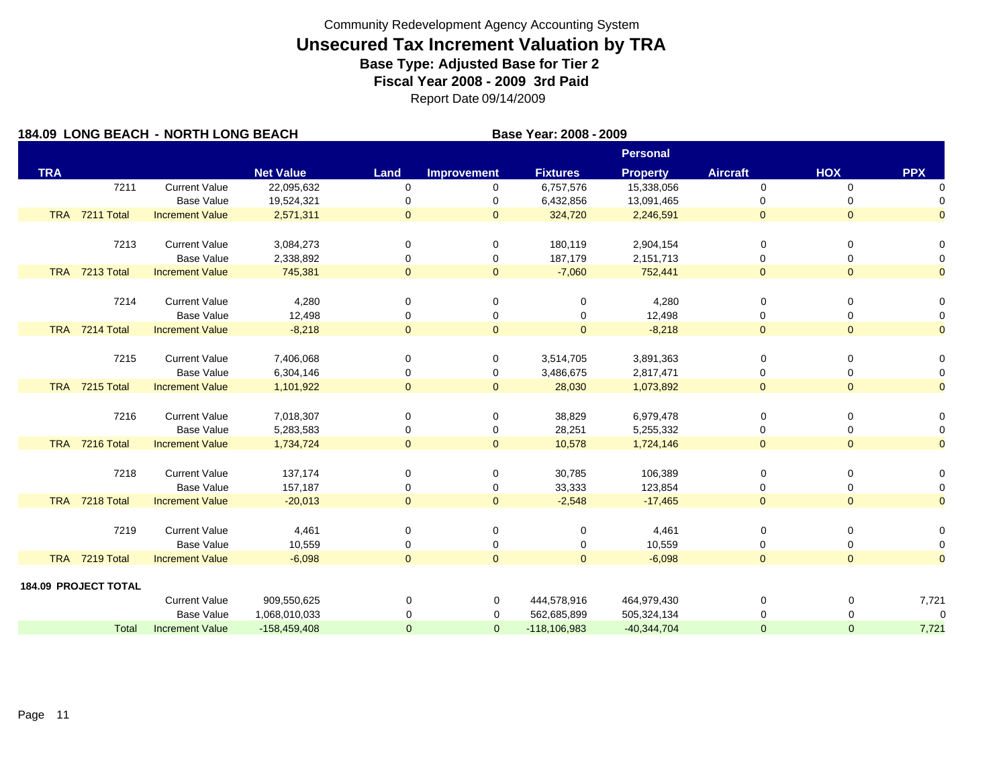| 184.09 LONG BEACH - NORTH LONG BEACH |                             |                        |                  |                |                    | Base Year: 2008 - 2009 |                 |                 |                |                |
|--------------------------------------|-----------------------------|------------------------|------------------|----------------|--------------------|------------------------|-----------------|-----------------|----------------|----------------|
|                                      |                             |                        |                  |                |                    |                        | <b>Personal</b> |                 |                |                |
| <b>TRA</b>                           |                             |                        | <b>Net Value</b> | Land           | <b>Improvement</b> | <b>Fixtures</b>        | <b>Property</b> | <b>Aircraft</b> | <b>HOX</b>     | <b>PPX</b>     |
|                                      | 7211                        | <b>Current Value</b>   | 22,095,632       | 0              | 0                  | 6,757,576              | 15,338,056      | $\mathbf 0$     | 0              | $\Omega$       |
|                                      |                             | <b>Base Value</b>      | 19,524,321       |                | 0                  | 6,432,856              | 13,091,465      | 0               | 0              | 0              |
|                                      | TRA 7211 Total              | <b>Increment Value</b> | 2,571,311        | $\mathbf{0}$   | $\mathbf{0}$       | 324,720                | 2,246,591       | $\overline{0}$  | $\overline{0}$ | $\overline{0}$ |
|                                      | 7213                        | <b>Current Value</b>   | 3,084,273        | 0              | 0                  | 180,119                | 2,904,154       | 0               | 0              | 0              |
|                                      |                             | <b>Base Value</b>      | 2,338,892        | 0              | 0                  | 187,179                | 2,151,713       | 0               | 0              | 0              |
|                                      | TRA 7213 Total              | <b>Increment Value</b> | 745,381          | $\overline{0}$ | $\overline{0}$     | $-7,060$               | 752,441         | $\mathbf{0}$    | $\mathbf{0}$   | $\overline{0}$ |
|                                      | 7214                        | <b>Current Value</b>   | 4,280            | 0              | 0                  | 0                      | 4,280           | $\Omega$        | 0              | 0              |
|                                      |                             | <b>Base Value</b>      | 12,498           | 0              | 0                  | 0                      | 12,498          | 0               | 0              | 0              |
|                                      | TRA 7214 Total              | <b>Increment Value</b> | $-8,218$         | $\mathbf{0}$   | $\mathbf{O}$       | $\overline{0}$         | $-8,218$        | $\overline{0}$  | $\mathbf{0}$   | $\overline{O}$ |
|                                      | 7215                        | <b>Current Value</b>   | 7,406,068        | 0              | 0                  | 3,514,705              | 3,891,363       | 0               | 0              | 0              |
|                                      |                             | <b>Base Value</b>      | 6,304,146        | 0              | 0                  | 3,486,675              | 2,817,471       | 0               | 0              | 0              |
|                                      | TRA 7215 Total              | <b>Increment Value</b> | 1,101,922        | $\mathbf{0}$   | $\overline{0}$     | 28,030                 | 1,073,892       | $\overline{0}$  | $\overline{0}$ | $\overline{0}$ |
|                                      | 7216                        | <b>Current Value</b>   | 7,018,307        | $\Omega$       | 0                  | 38,829                 | 6,979,478       | $\mathbf 0$     | 0              | 0              |
|                                      |                             | <b>Base Value</b>      | 5,283,583        | 0              | 0                  | 28,251                 | 5,255,332       | 0               | 0              | 0              |
|                                      | TRA 7216 Total              | <b>Increment Value</b> | 1,734,724        | $\overline{0}$ | $\overline{0}$     | 10,578                 | 1,724,146       | $\overline{0}$  | $\overline{0}$ | $\overline{0}$ |
|                                      | 7218                        | <b>Current Value</b>   | 137,174          | 0              | 0                  | 30,785                 | 106,389         | 0               | 0              | 0              |
|                                      |                             | <b>Base Value</b>      | 157,187          | 0              | 0                  | 33,333                 | 123,854         | 0               | 0              | 0              |
|                                      | TRA 7218 Total              | <b>Increment Value</b> | $-20,013$        | $\overline{0}$ | $\overline{0}$     | $-2,548$               | $-17,465$       | $\overline{0}$  | $\overline{0}$ | $\overline{0}$ |
|                                      | 7219                        | <b>Current Value</b>   | 4,461            | 0              | 0                  | 0                      | 4,461           | 0               | 0              | 0              |
|                                      |                             | <b>Base Value</b>      | 10,559           | 0              | 0                  | 0                      | 10,559          | 0               | 0              | 0              |
|                                      | TRA 7219 Total              | <b>Increment Value</b> | $-6,098$         | $\overline{0}$ | $\overline{0}$     | $\overline{0}$         | $-6,098$        | $\overline{0}$  | $\overline{0}$ | $\overline{0}$ |
|                                      | <b>184.09 PROJECT TOTAL</b> |                        |                  |                |                    |                        |                 |                 |                |                |
|                                      |                             | <b>Current Value</b>   | 909,550,625      | 0              | 0                  | 444,578,916            | 464,979,430     | 0               | 0              | 7,721          |
|                                      |                             | <b>Base Value</b>      | 1,068,010,033    | 0              | 0                  | 562,685,899            | 505,324,134     | $\Omega$        | O              | $\mathbf 0$    |
|                                      | <b>Total</b>                | <b>Increment Value</b> | $-158,459,408$   | $\mathbf{0}$   | $\overline{0}$     | $-118, 106, 983$       | $-40,344,704$   | $\Omega$        | $\Omega$       | 7,721          |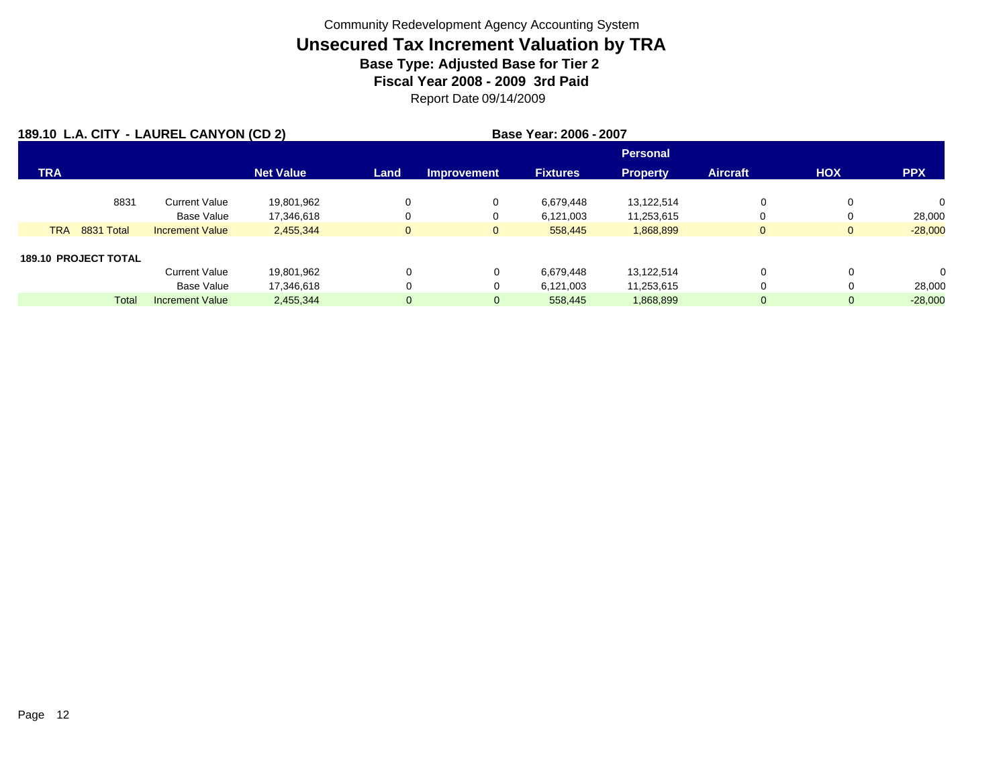| 189.10 L.A. CITY - LAUREL CANYON (CD 2) |                             |                        |                  |              | Base Year: 2006 - 2007 |                 |                 |                 |              |            |
|-----------------------------------------|-----------------------------|------------------------|------------------|--------------|------------------------|-----------------|-----------------|-----------------|--------------|------------|
|                                         |                             |                        |                  |              |                        |                 | <b>Personal</b> |                 |              |            |
| <b>TRA</b>                              |                             |                        | <b>Net Value</b> | Land         | <b>Improvement</b>     | <b>Fixtures</b> | <b>Property</b> | <b>Aircraft</b> | <b>HOX</b>   | <b>PPX</b> |
|                                         | 8831                        | <b>Current Value</b>   | 19,801,962       | $\Omega$     | 0                      | 6,679,448       | 13,122,514      | 0               | 0            | $\Omega$   |
|                                         |                             | <b>Base Value</b>      | 17,346,618       | 0            | 0                      | 6,121,003       | 11,253,615      |                 | 0            | 28,000     |
| <b>TRA</b>                              | <b>8831 Total</b>           | <b>Increment Value</b> | 2,455,344        | $\mathbf{0}$ | $\overline{0}$         | 558,445         | 1,868,899       | $\overline{0}$  | $\mathbf{0}$ | $-28,000$  |
|                                         | <b>189.10 PROJECT TOTAL</b> |                        |                  |              |                        |                 |                 |                 |              |            |
|                                         |                             | <b>Current Value</b>   | 19,801,962       | 0            | 0                      | 6,679,448       | 13,122,514      | 0               | 0            | $\Omega$   |
|                                         |                             | <b>Base Value</b>      | 17,346,618       | 0            | 0                      | 6,121,003       | 11,253,615      | 0               | 0            | 28,000     |
|                                         | Total                       | <b>Increment Value</b> | 2,455,344        | $\mathbf{0}$ | 0                      | 558,445         | 1,868,899       | 0               | 0            | $-28,000$  |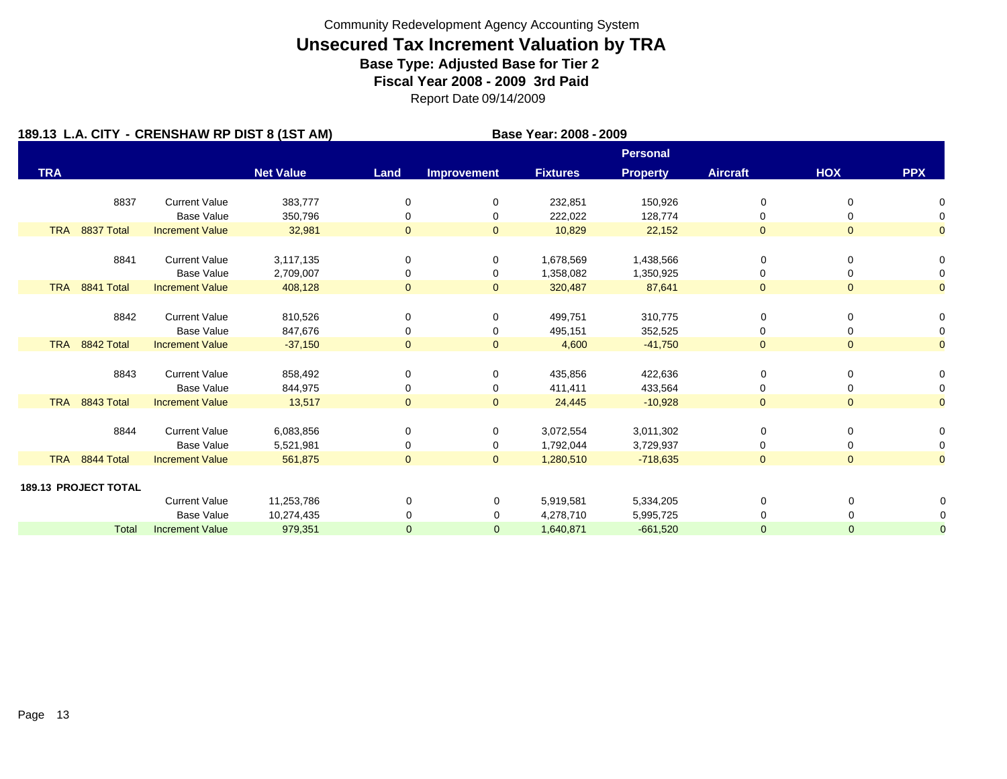|            |                             | 189.13 L.A. CITY - CRENSHAW RP DIST 8 (1ST AM) |                        |                |                    | Base Year: 2008 - 2009 |                        |                 |                |                |
|------------|-----------------------------|------------------------------------------------|------------------------|----------------|--------------------|------------------------|------------------------|-----------------|----------------|----------------|
|            |                             |                                                |                        |                |                    |                        | <b>Personal</b>        |                 |                |                |
| <b>TRA</b> |                             |                                                | <b>Net Value</b>       | Land           | <b>Improvement</b> | <b>Fixtures</b>        | <b>Property</b>        | <b>Aircraft</b> | <b>HOX</b>     | <b>PPX</b>     |
|            | 8837                        | <b>Current Value</b>                           | 383,777                | 0              | 0                  | 232,851                | 150,926                | 0               | 0              | 0              |
|            |                             | <b>Base Value</b>                              | 350,796                | 0              | 0                  | 222,022                | 128,774                | 0               | 0              | 0              |
| <b>TRA</b> | 8837 Total                  | <b>Increment Value</b>                         | 32,981                 | $\overline{0}$ | $\overline{0}$     | 10,829                 | 22,152                 | $\overline{0}$  | $\mathbf{0}$   | $\overline{0}$ |
|            |                             |                                                |                        |                |                    |                        |                        |                 |                |                |
|            | 8841                        | <b>Current Value</b><br><b>Base Value</b>      | 3,117,135<br>2,709,007 | 0              | 0<br>0             | 1,678,569<br>1,358,082 | 1,438,566<br>1,350,925 | 0<br>0          | 0<br>0         | 0<br>0         |
|            | TRA 8841 Total              | <b>Increment Value</b>                         | 408,128                | $\overline{0}$ | $\overline{0}$     | 320,487                | 87,641                 | $\overline{0}$  | $\mathbf{0}$   | $\overline{0}$ |
|            |                             |                                                |                        |                |                    |                        |                        |                 |                |                |
|            | 8842                        | <b>Current Value</b>                           | 810,526                | 0              | 0                  | 499,751                | 310,775                | 0               | 0              | 0              |
|            |                             | <b>Base Value</b>                              | 847,676                | 0              | 0                  | 495,151                | 352,525                | 0               | 0              | 0              |
|            | TRA 8842 Total              | <b>Increment Value</b>                         | $-37,150$              | $\overline{0}$ | $\overline{0}$     | 4,600                  | $-41,750$              | $\overline{0}$  | $\overline{0}$ | $\overline{0}$ |
|            |                             |                                                |                        |                |                    |                        |                        |                 |                |                |
|            | 8843                        | <b>Current Value</b>                           | 858,492                | 0              | 0                  | 435,856                | 422,636                | 0               | 0              | 0              |
|            |                             | <b>Base Value</b>                              | 844,975                | 0              | 0                  | 411,411                | 433,564                | 0               | 0              | 0              |
| <b>TRA</b> | 8843 Total                  | <b>Increment Value</b>                         | 13,517                 | $\overline{0}$ | $\mathbf{0}$       | 24,445                 | $-10,928$              | $\overline{0}$  | $\overline{0}$ | $\overline{O}$ |
|            | 8844                        | <b>Current Value</b>                           | 6,083,856              | 0              | 0                  | 3,072,554              | 3,011,302              | 0               | 0              | 0              |
|            |                             | <b>Base Value</b>                              | 5,521,981              | 0              | 0                  | 1,792,044              | 3,729,937              | 0               | 0              | 0              |
|            | TRA 8844 Total              | <b>Increment Value</b>                         | 561,875                | $\overline{0}$ | $\overline{0}$     | 1,280,510              | $-718,635$             | $\overline{0}$  | $\mathbf{0}$   | $\overline{0}$ |
|            |                             |                                                |                        |                |                    |                        |                        |                 |                |                |
|            | <b>189.13 PROJECT TOTAL</b> | <b>Current Value</b>                           | 11,253,786             | $\mathbf 0$    | 0                  | 5,919,581              | 5,334,205              | 0               | 0              |                |
|            |                             | <b>Base Value</b>                              | 10,274,435             | 0              | 0                  | 4,278,710              | 5,995,725              | 0               | 0              |                |
|            | <b>Total</b>                | <b>Increment Value</b>                         | 979,351                | $\mathbf{0}$   | $\mathbf{0}$       | 1,640,871              | $-661,520$             | 0               | $\mathbf{0}$   | $\overline{0}$ |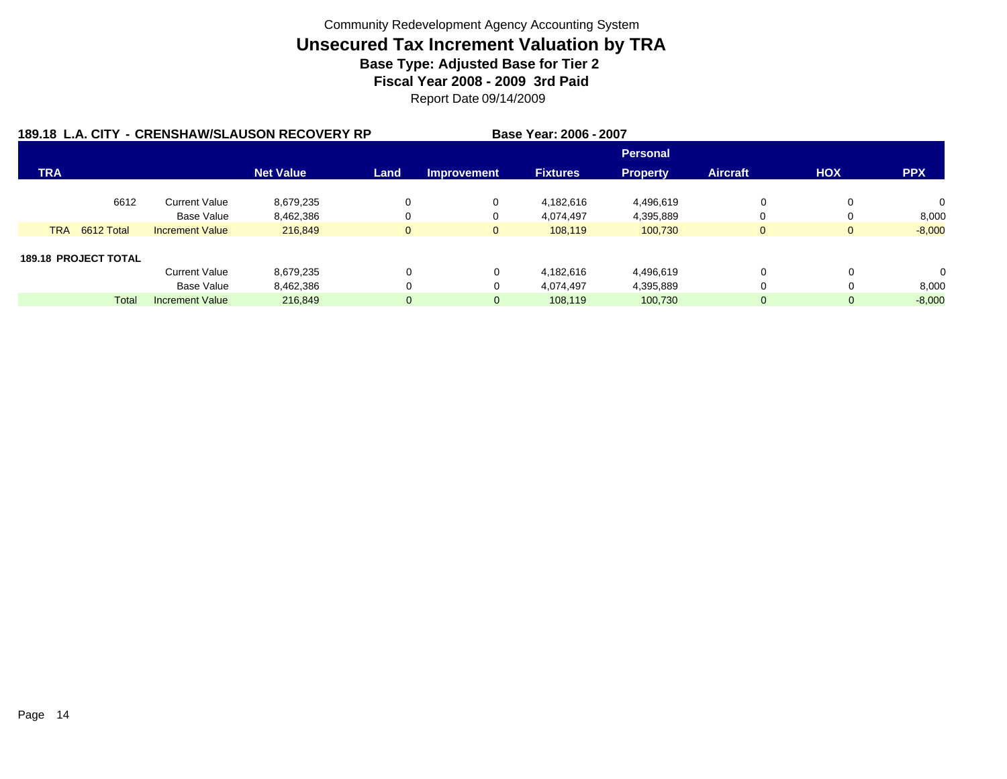|            |                             |                        | 189.18 L.A. CITY - CRENSHAW/SLAUSON RECOVERY RP |                |                    | Base Year: 2006 - 2007 |                 |                 |              |              |
|------------|-----------------------------|------------------------|-------------------------------------------------|----------------|--------------------|------------------------|-----------------|-----------------|--------------|--------------|
|            |                             |                        |                                                 |                |                    |                        | <b>Personal</b> |                 |              |              |
| <b>TRA</b> |                             |                        | <b>Net Value</b>                                | Land           | <b>Improvement</b> | <b>Fixtures</b>        | <b>Property</b> | <b>Aircraft</b> | <b>HOX</b>   | <b>PPX</b>   |
|            | 6612                        | <b>Current Value</b>   | 8,679,235                                       |                | 0                  | 4,182,616              | 4,496,619       | 0               |              | $\mathbf{0}$ |
|            |                             | <b>Base Value</b>      | 8,462,386                                       |                | 0                  | 4,074,497              | 4,395,889       | 0               | 0            | 8,000        |
| <b>TRA</b> | 6612 Total                  | <b>Increment Value</b> | 216,849                                         | $\mathbf{0}$   | $\mathbf{0}$       | 108.119                | 100.730         | $\mathbf{0}$    | $\mathbf{0}$ | $-8,000$     |
|            | <b>189.18 PROJECT TOTAL</b> |                        |                                                 |                |                    |                        |                 |                 |              |              |
|            |                             | <b>Current Value</b>   | 8,679,235                                       | $\Omega$       | 0                  | 4,182,616              | 4,496,619       | 0               | $\Omega$     | $\mathbf 0$  |
|            |                             | <b>Base Value</b>      | 8,462,386                                       | 0              | 0                  | 4,074,497              | 4,395,889       | 0               |              | 8,000        |
|            | <b>Total</b>                | <b>Increment Value</b> | 216,849                                         | $\overline{0}$ | 0                  | 108,119                | 100,730         | 0               | 0            | $-8,000$     |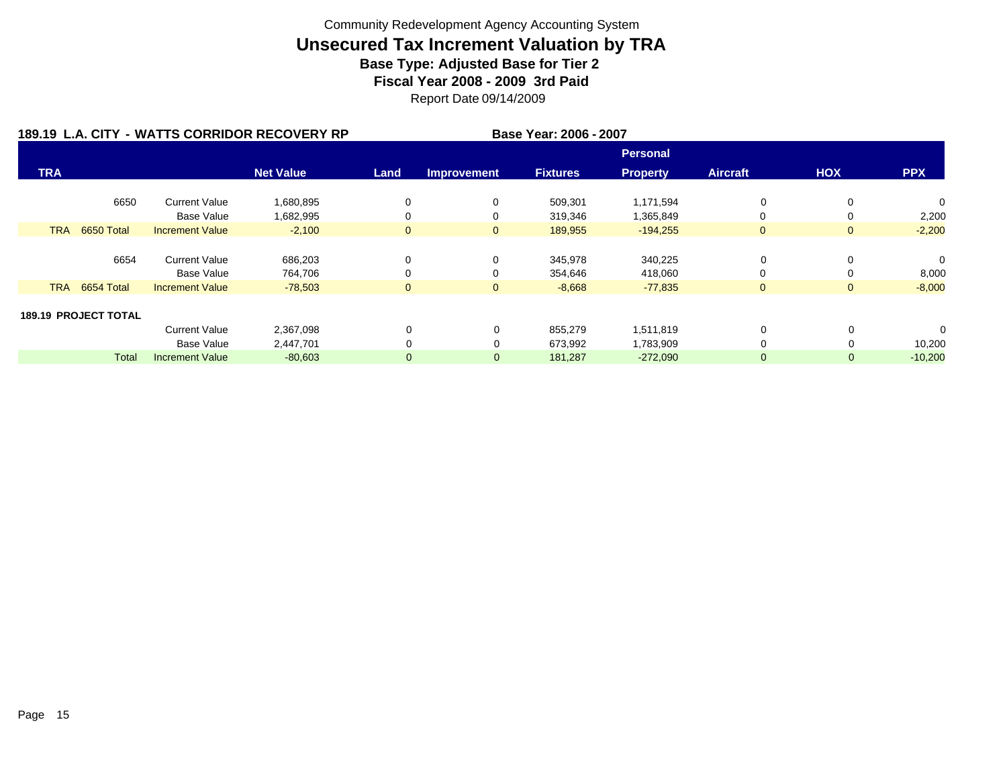|            |                             |                        | 189.19 L.A. CITY - WATTS CORRIDOR RECOVERY RP |              |                    | Base Year: 2006 - 2007 |                 |                 |              |                |
|------------|-----------------------------|------------------------|-----------------------------------------------|--------------|--------------------|------------------------|-----------------|-----------------|--------------|----------------|
|            |                             |                        |                                               |              |                    |                        | <b>Personal</b> |                 |              |                |
| <b>TRA</b> |                             |                        | <b>Net Value</b>                              | Land         | <b>Improvement</b> | <b>Fixtures</b>        | <b>Property</b> | <b>Aircraft</b> | <b>HOX</b>   | <b>PPX</b>     |
|            | 6650                        | <b>Current Value</b>   | 1,680,895                                     | 0            | 0                  | 509,301                | 1,171,594       | 0               | 0            | 0              |
|            |                             | Base Value             | 1,682,995                                     | 0            | 0                  | 319,346                | 1,365,849       | 0               | 0            | 2,200          |
| <b>TRA</b> | 6650 Total                  | <b>Increment Value</b> | $-2,100$                                      | $\mathbf{0}$ | $\mathbf{0}$       | 189,955                | $-194,255$      | $\overline{0}$  | $\mathbf{0}$ | $-2,200$       |
|            |                             |                        |                                               |              |                    |                        |                 |                 |              |                |
|            | 6654                        | <b>Current Value</b>   | 686,203                                       | 0            | 0                  | 345,978                | 340,225         | 0               | 0            | $\Omega$       |
|            |                             | Base Value             | 764,706                                       | $\Omega$     | 0                  | 354,646                | 418,060         | 0               | 0            | 8,000          |
| <b>TRA</b> | 6654 Total                  | <b>Increment Value</b> | $-78,503$                                     | $\mathbf{0}$ | $\overline{0}$     | $-8,668$               | $-77,835$       | $\mathbf{0}$    | $\mathbf{0}$ | $-8,000$       |
|            |                             |                        |                                               |              |                    |                        |                 |                 |              |                |
|            | <b>189.19 PROJECT TOTAL</b> |                        |                                               |              |                    |                        |                 |                 |              |                |
|            |                             | <b>Current Value</b>   | 2,367,098                                     | $\Omega$     | 0                  | 855,279                | 1,511,819       | 0               |              | $\overline{0}$ |
|            |                             | Base Value             | 2,447,701                                     | 0            | 0                  | 673,992                | 1,783,909       | $\Omega$        |              | 10,200         |
|            | <b>Total</b>                | <b>Increment Value</b> | $-80,603$                                     | $\mathbf 0$  | $\mathbf{0}$       | 181,287                | $-272,090$      | $\mathbf{0}$    | $\mathbf{0}$ | $-10,200$      |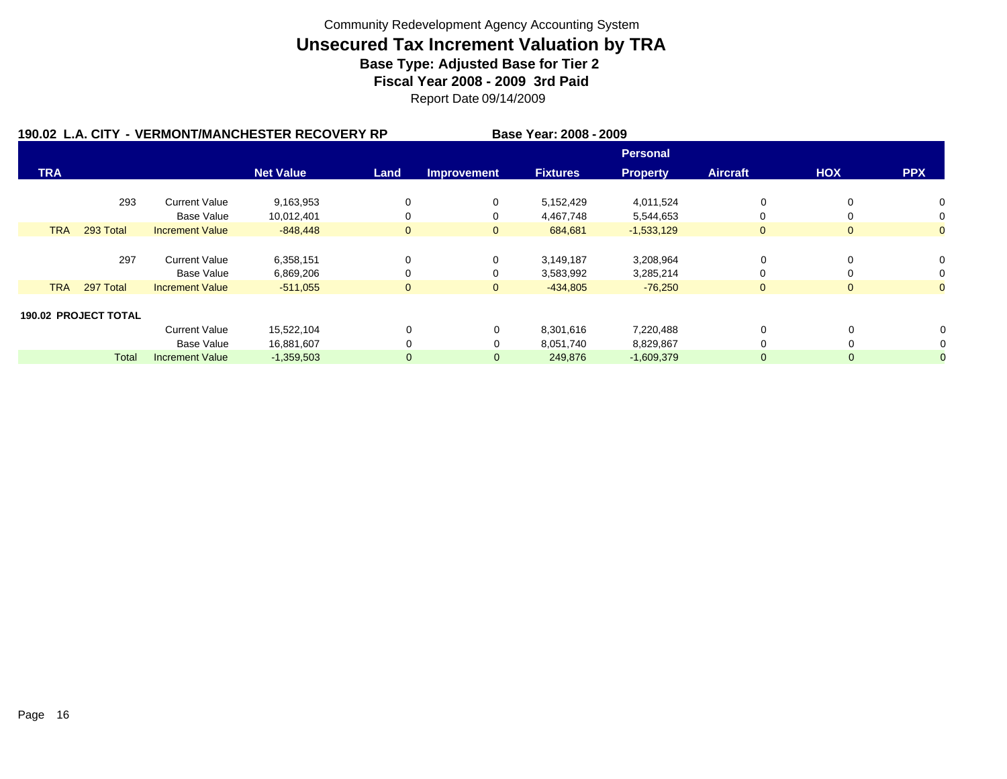|            |                             |                        | 190.02 L.A. CITY - VERMONT/MANCHESTER RECOVERY RP |                |                    | Base Year: 2008 - 2009 |                 |                 |                |                |
|------------|-----------------------------|------------------------|---------------------------------------------------|----------------|--------------------|------------------------|-----------------|-----------------|----------------|----------------|
|            |                             |                        |                                                   |                |                    |                        | <b>Personal</b> |                 |                |                |
| <b>TRA</b> |                             |                        | <b>Net Value</b>                                  | Land           | <b>Improvement</b> | <b>Fixtures</b>        | <b>Property</b> | <b>Aircraft</b> | <b>HOX</b>     | <b>PPX</b>     |
|            | 293                         | <b>Current Value</b>   | 9,163,953                                         | 0              | 0                  | 5,152,429              | 4,011,524       | 0               | 0              | 0              |
|            |                             | Base Value             | 10,012,401                                        | 0              | 0                  | 4,467,748              | 5,544,653       | 0               |                | 0              |
| <b>TRA</b> | 293 Total                   | <b>Increment Value</b> | $-848,448$                                        | $\mathbf{0}$   | $\overline{0}$     | 684,681                | $-1,533,129$    | $\mathbf{0}$    | $\mathbf{0}$   | $\overline{0}$ |
|            |                             |                        |                                                   |                |                    |                        |                 |                 |                |                |
|            | 297                         | <b>Current Value</b>   | 6,358,151                                         | 0              | 0                  | 3,149,187              | 3,208,964       | 0               | $\Omega$       | 0              |
|            |                             | Base Value             | 6,869,206                                         | $\Omega$       | 0                  | 3,583,992              | 3,285,214       | 0               |                | 0              |
| <b>TRA</b> | 297 Total                   | <b>Increment Value</b> | $-511,055$                                        | $\overline{0}$ | $\mathbf{0}$       | $-434,805$             | $-76,250$       | $\mathbf{0}$    | $\overline{0}$ | $\overline{0}$ |
|            |                             |                        |                                                   |                |                    |                        |                 |                 |                |                |
|            | <b>190.02 PROJECT TOTAL</b> |                        |                                                   |                |                    |                        |                 |                 |                |                |
|            |                             | <b>Current Value</b>   | 15,522,104                                        | 0              | 0                  | 8,301,616              | 7,220,488       | 0               | 0              |                |
|            |                             | Base Value             | 16,881,607                                        | $\Omega$       | 0                  | 8,051,740              | 8,829,867       | 0               |                |                |
|            | Total                       | <b>Increment Value</b> | $-1,359,503$                                      | $\mathbf 0$    | $\mathbf 0$        | 249,876                | $-1,609,379$    | $\mathbf{0}$    | 0              |                |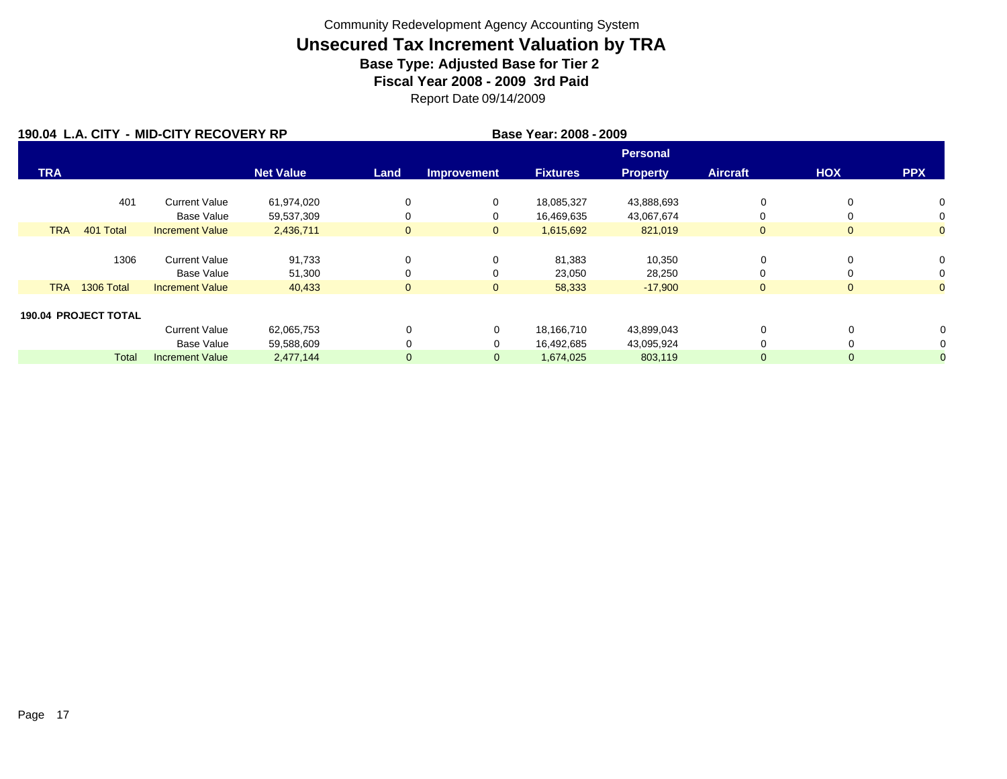|            |                             | 190.04 L.A. CITY - MID-CITY RECOVERY RP |                  |              | Base Year: 2008 - 2009 |                 |                 |                 |                |                |
|------------|-----------------------------|-----------------------------------------|------------------|--------------|------------------------|-----------------|-----------------|-----------------|----------------|----------------|
|            |                             |                                         |                  |              |                        |                 | <b>Personal</b> |                 |                |                |
| <b>TRA</b> |                             |                                         | <b>Net Value</b> | Land         | <b>Improvement</b>     | <b>Fixtures</b> | <b>Property</b> | <b>Aircraft</b> | <b>HOX</b>     | <b>PPX</b>     |
|            | 401                         | <b>Current Value</b>                    | 61,974,020       | 0            | 0                      | 18,085,327      | 43,888,693      | 0               | $\mathbf 0$    | 0              |
|            |                             | Base Value                              | 59,537,309       | 0            | 0                      | 16,469,635      | 43,067,674      | 0               | $\Omega$       | 0              |
| <b>TRA</b> | 401 Total                   | <b>Increment Value</b>                  | 2,436,711        | $\mathbf{0}$ | $\mathbf{0}$           | 1,615,692       | 821,019         | $\overline{0}$  | $\mathbf{0}$   | $\overline{0}$ |
|            |                             |                                         |                  |              |                        |                 |                 |                 |                |                |
|            | 1306                        | <b>Current Value</b>                    | 91,733           | 0            | 0                      | 81,383          | 10,350          | 0               | 0              | 0              |
|            |                             | <b>Base Value</b>                       | 51,300           | 0            | 0                      | 23,050          | 28,250          | 0               | $\Omega$       | 0              |
| <b>TRA</b> | 1306 Total                  | <b>Increment Value</b>                  | 40,433           | $\mathbf{0}$ | $\mathbf{0}$           | 58,333          | $-17,900$       | $\overline{0}$  | $\overline{0}$ | $\overline{0}$ |
|            |                             |                                         |                  |              |                        |                 |                 |                 |                |                |
|            | <b>190.04 PROJECT TOTAL</b> |                                         |                  |              |                        |                 |                 |                 |                |                |
|            |                             | <b>Current Value</b>                    | 62,065,753       | 0            | 0                      | 18,166,710      | 43,899,043      | 0               | 0              |                |
|            |                             | <b>Base Value</b>                       | 59,588,609       |              | 0                      | 16,492,685      | 43,095,924      | 0               |                |                |
|            | <b>Total</b>                | <b>Increment Value</b>                  | 2,477,144        | $\mathbf 0$  | $\mathbf 0$            | 1,674,025       | 803,119         | 0               | 0              |                |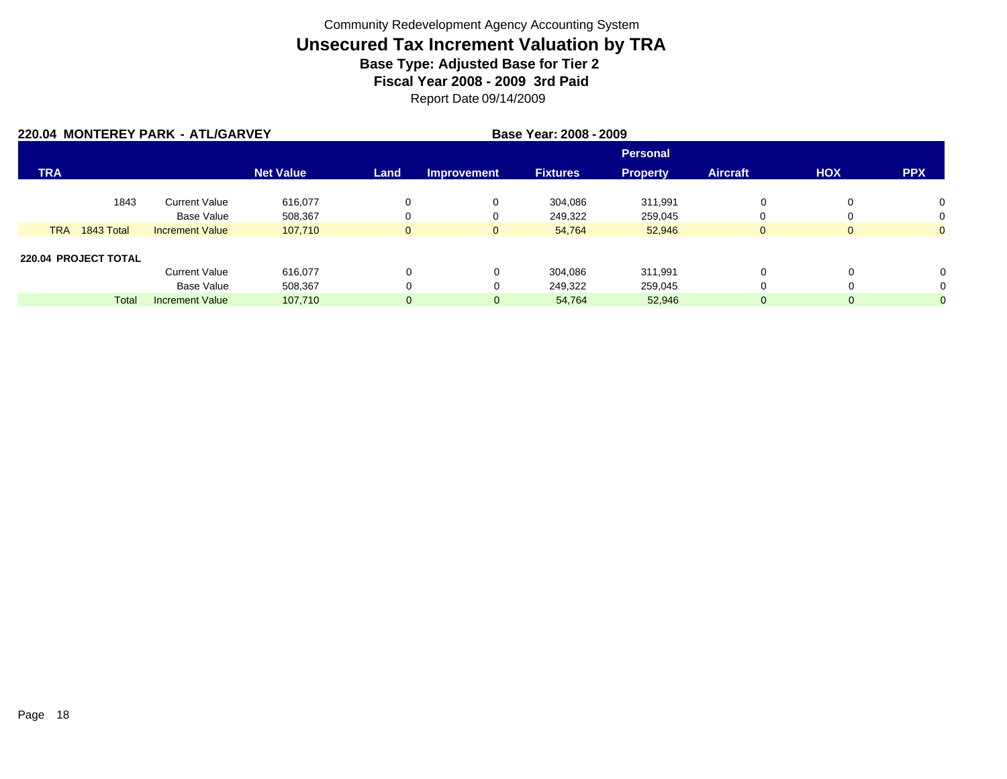|            |                      | 220.04 MONTEREY PARK - ATL/GARVEY |                  | Base Year: 2008 - 2009 |                    |                 |                 |                 |              |                |
|------------|----------------------|-----------------------------------|------------------|------------------------|--------------------|-----------------|-----------------|-----------------|--------------|----------------|
|            |                      |                                   |                  |                        |                    |                 | <b>Personal</b> |                 |              |                |
| <b>TRA</b> |                      |                                   | <b>Net Value</b> | Land                   | <b>Improvement</b> | <b>Fixtures</b> | <b>Property</b> | <b>Aircraft</b> | <b>HOX</b>   | <b>PPX</b>     |
|            | 1843                 | <b>Current Value</b>              | 616.077          | 0                      | 0                  | 304.086         | 311,991         | 0               | 0            | 0              |
|            |                      | <b>Base Value</b>                 | 508,367          | 0                      | 0                  | 249,322         | 259,045         | 0               | 0            | 0              |
| <b>TRA</b> | 1843 Total           | <b>Increment Value</b>            | 107,710          | $\mathbf{0}$           | $\mathbf{0}$       | 54,764          | 52,946          | $\mathbf{0}$    | $\mathbf{0}$ | $\overline{0}$ |
|            | 220.04 PROJECT TOTAL |                                   |                  |                        |                    |                 |                 |                 |              |                |
|            |                      | <b>Current Value</b>              | 616,077          | 0                      | $\Omega$           | 304.086         | 311,991         | 0               | 0            | $\Omega$       |
|            |                      | <b>Base Value</b>                 | 508,367          | 0                      | $\Omega$           | 249,322         | 259,045         | 0               | 0            | 0              |
|            | Total                | <b>Increment Value</b>            | 107,710          | $\overline{0}$         | $\mathbf 0$        | 54,764          | 52,946          | $\overline{0}$  | 0            | $\mathbf{0}$   |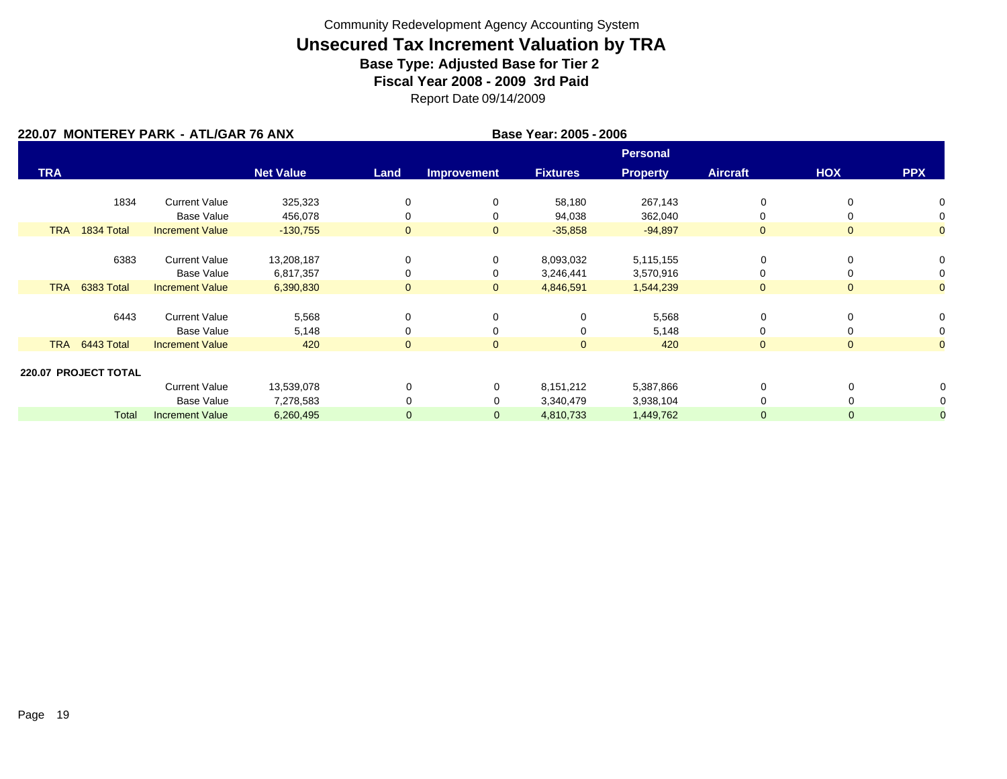|            |                      | 220.07 MONTEREY PARK - ATL/GAR 76 ANX |                  |              | Base Year: 2005 - 2006 |                 |                 |                 |                |                |
|------------|----------------------|---------------------------------------|------------------|--------------|------------------------|-----------------|-----------------|-----------------|----------------|----------------|
|            |                      |                                       |                  |              |                        |                 | <b>Personal</b> |                 |                |                |
| <b>TRA</b> |                      |                                       | <b>Net Value</b> | Land         | <b>Improvement</b>     | <b>Fixtures</b> | <b>Property</b> | <b>Aircraft</b> | HOX            | <b>PPX</b>     |
|            | 1834                 | <b>Current Value</b>                  | 325,323          | 0            | 0                      | 58,180          | 267,143         | 0               | 0              | 0              |
|            |                      | <b>Base Value</b>                     | 456,078          | 0            | 0                      | 94,038          | 362,040         | 0               |                | 0              |
| <b>TRA</b> | 1834 Total           | <b>Increment Value</b>                | $-130,755$       | $\mathbf{0}$ | $\mathbf{0}$           | $-35,858$       | $-94,897$       | $\mathbf{0}$    | $\mathbf{0}$   | $\overline{0}$ |
|            |                      |                                       |                  |              |                        |                 |                 |                 |                |                |
|            | 6383                 | <b>Current Value</b>                  | 13,208,187       | 0            | 0                      | 8,093,032       | 5,115,155       | 0               | 0              | 0              |
|            |                      | <b>Base Value</b>                     | 6,817,357        | 0            | 0                      | 3,246,441       | 3,570,916       | $\Omega$        |                | 0              |
| <b>TRA</b> | 6383 Total           | <b>Increment Value</b>                | 6,390,830        | $\mathbf{0}$ | $\mathbf{0}$           | 4,846,591       | 1,544,239       | $\overline{0}$  | $\Omega$       | $\overline{0}$ |
|            |                      |                                       |                  |              |                        |                 |                 |                 |                |                |
|            | 6443                 | <b>Current Value</b>                  | 5,568            | $\mathbf 0$  | 0                      | 0               | 5,568           | 0               | 0              | 0              |
|            |                      | <b>Base Value</b>                     | 5,148            | 0            | 0                      | 0               | 5,148           | 0               | 0              | 0              |
| <b>TRA</b> | 6443 Total           | <b>Increment Value</b>                | 420              | $\mathbf{0}$ | $\overline{0}$         | $\overline{0}$  | 420             | $\mathbf{0}$    | $\overline{0}$ | $\mathbf{O}$   |
|            | 220.07 PROJECT TOTAL |                                       |                  |              |                        |                 |                 |                 |                |                |
|            |                      | <b>Current Value</b>                  | 13,539,078       | 0            | 0                      | 8,151,212       | 5,387,866       | 0               | 0              | 0              |
|            |                      | <b>Base Value</b>                     | 7,278,583        | 0            | 0                      | 3,340,479       | 3,938,104       | $\Omega$        | 0              | 0              |
|            | <b>Total</b>         | <b>Increment Value</b>                | 6,260,495        | $\mathbf 0$  | $\mathbf{0}$           | 4,810,733       | 1,449,762       | $\mathbf 0$     | 0              | $\overline{0}$ |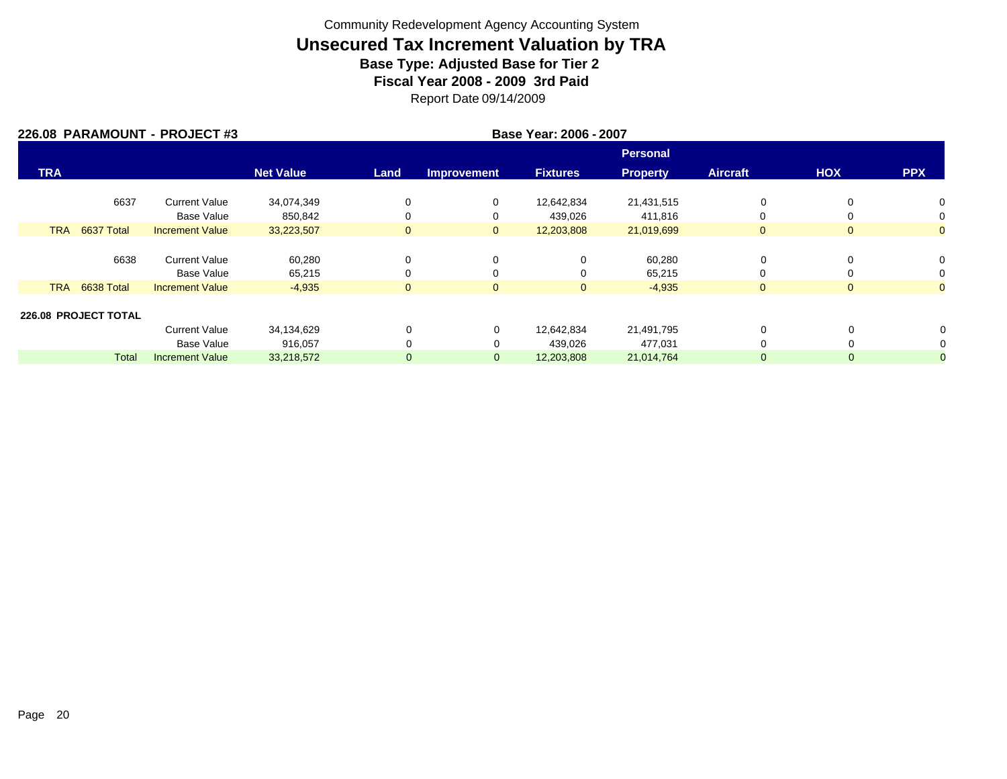|            |                          | 226.08 PARAMOUNT - PROJECT #3 |                  |              |                    | Base Year: 2006 - 2007 |                 |                 |                |                |
|------------|--------------------------|-------------------------------|------------------|--------------|--------------------|------------------------|-----------------|-----------------|----------------|----------------|
|            |                          |                               |                  |              |                    |                        | Personal        |                 |                |                |
| <b>TRA</b> |                          |                               | <b>Net Value</b> | Land         | <b>Improvement</b> | <b>Fixtures</b>        | <b>Property</b> | <b>Aircraft</b> | <b>HOX</b>     | <b>PPX</b>     |
|            | 6637                     | <b>Current Value</b>          | 34,074,349       | 0            | 0                  | 12,642,834             | 21,431,515      | 0               | 0              | 0              |
|            |                          | Base Value                    | 850,842          | 0            | 0                  | 439,026                | 411,816         | 0               | 0              | 0              |
|            | <b>TRA</b><br>6637 Total | <b>Increment Value</b>        | 33,223,507       | $\mathbf{0}$ | $\mathbf{0}$       | 12,203,808             | 21,019,699      | $\overline{0}$  | $\overline{0}$ | $\overline{0}$ |
|            |                          |                               |                  |              |                    |                        |                 |                 |                |                |
|            | 6638                     | <b>Current Value</b>          | 60,280           | 0            | 0                  | 0                      | 60,280          | 0               | 0              | 0              |
|            |                          | Base Value                    | 65,215           | $\Omega$     | 0                  | $\Omega$               | 65,215          | 0               | 0              | 0              |
|            | <b>TRA</b><br>6638 Total | <b>Increment Value</b>        | $-4,935$         | $\mathbf{0}$ | $\mathbf 0$        | $\mathbf{0}$           | $-4,935$        | $\overline{0}$  | $\overline{0}$ | $\overline{0}$ |
|            |                          |                               |                  |              |                    |                        |                 |                 |                |                |
|            | 226.08 PROJECT TOTAL     |                               |                  |              |                    |                        |                 |                 |                |                |
|            |                          | <b>Current Value</b>          | 34,134,629       | $\Omega$     | 0                  | 12,642,834             | 21,491,795      | 0               | 0              |                |
|            |                          | Base Value                    | 916,057          | $\Omega$     | $\Omega$           | 439,026                | 477,031         |                 |                |                |
|            | <b>Total</b>             | <b>Increment Value</b>        | 33,218,572       | $\mathbf{0}$ | $\mathbf 0$        | 12,203,808             | 21,014,764      | 0               | 0              |                |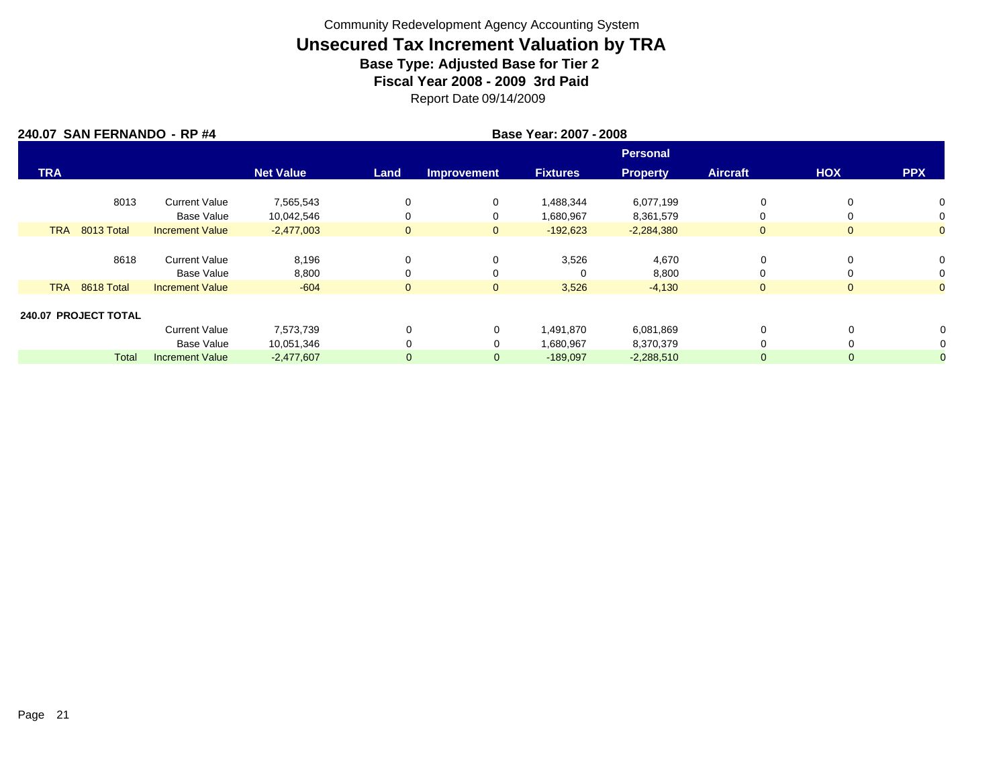|            | 240.07 SAN FERNANDO - RP #4 |                        |                  |              |                    | Base Year: 2007 - 2008 |                 |                 |                |                |
|------------|-----------------------------|------------------------|------------------|--------------|--------------------|------------------------|-----------------|-----------------|----------------|----------------|
|            |                             |                        |                  |              |                    |                        | <b>Personal</b> |                 |                |                |
| <b>TRA</b> |                             |                        | <b>Net Value</b> | Land         | <b>Improvement</b> | <b>Fixtures</b>        | <b>Property</b> | <b>Aircraft</b> | <b>HOX</b>     | <b>PPX</b>     |
|            | 8013                        | <b>Current Value</b>   | 7,565,543        | 0            | 0                  | 1,488,344              | 6,077,199       | 0               | 0              | $\Omega$       |
|            |                             | Base Value             | 10,042,546       | 0            | 0                  | 1,680,967              | 8,361,579       | 0               | $\Omega$       | 0              |
|            | <b>TRA</b><br>8013 Total    | <b>Increment Value</b> | $-2,477,003$     | $\mathbf{0}$ | $\mathbf{0}$       | $-192,623$             | $-2,284,380$    | $\mathbf{0}$    | $\overline{0}$ | $\mathbf{0}$   |
|            |                             |                        |                  |              |                    |                        |                 |                 |                |                |
|            | 8618                        | <b>Current Value</b>   | 8,196            | 0            | 0                  | 3,526                  | 4,670           | 0               | 0              | 0              |
|            |                             | Base Value             | 8,800            | 0            | 0                  | $\Omega$               | 8,800           | 0               | $\Omega$       | 0              |
|            | <b>TRA</b><br>8618 Total    | <b>Increment Value</b> | $-604$           | $\mathbf{0}$ | $\mathbf{0}$       | 3,526                  | $-4,130$        | $\mathbf{0}$    | $\overline{0}$ | $\overline{0}$ |
|            |                             |                        |                  |              |                    |                        |                 |                 |                |                |
|            | 240.07 PROJECT TOTAL        |                        |                  |              |                    |                        |                 |                 |                |                |
|            |                             | <b>Current Value</b>   | 7,573,739        | $\Omega$     | 0                  | 1,491,870              | 6,081,869       | 0               | $\Omega$       | 0              |
|            |                             | Base Value             | 10,051,346       | $\Omega$     | $\Omega$           | 1,680,967              | 8,370,379       | 0               | 0              | 0              |
|            | <b>Total</b>                | <b>Increment Value</b> | $-2,477,607$     | $\Omega$     | $\mathbf{0}$       | $-189,097$             | $-2,288,510$    | 0               | $\mathbf{0}$   | $\overline{0}$ |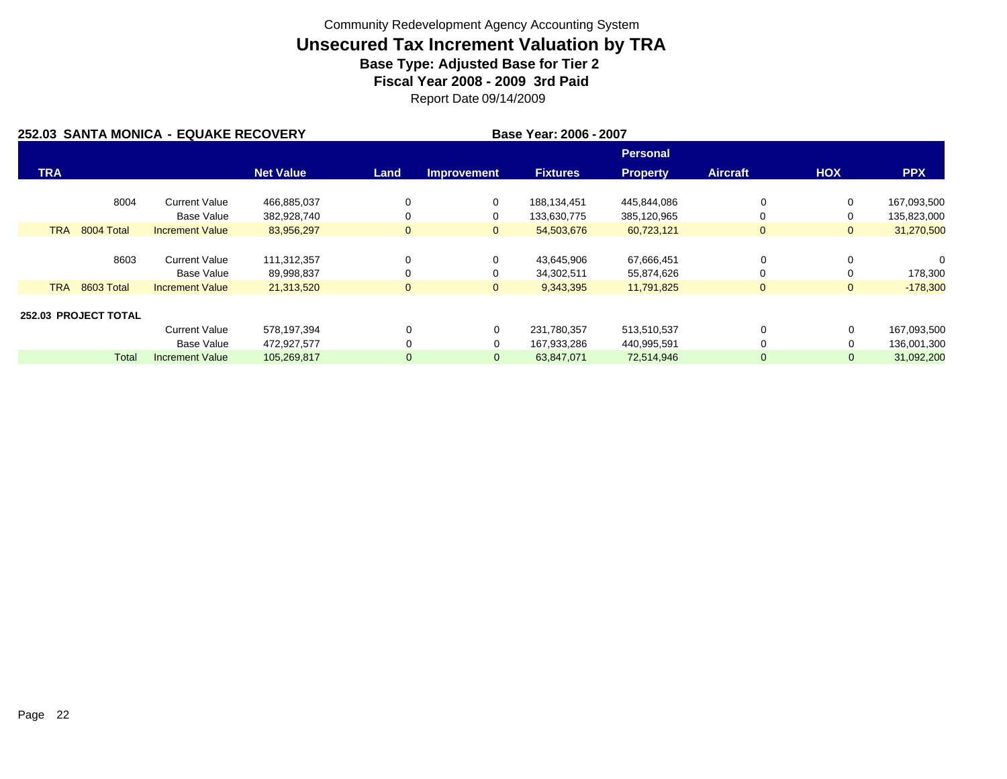|            |                             | 252.03 SANTA MONICA - EQUAKE RECOVERY |                  |              |                    | Base Year: 2006 - 2007 |                 |                 |                |             |
|------------|-----------------------------|---------------------------------------|------------------|--------------|--------------------|------------------------|-----------------|-----------------|----------------|-------------|
|            |                             |                                       |                  |              |                    |                        | Personal        |                 |                |             |
| <b>TRA</b> |                             |                                       | <b>Net Value</b> | Land         | <b>Improvement</b> | <b>Fixtures</b>        | <b>Property</b> | <b>Aircraft</b> | <b>HOX</b>     | <b>PPX</b>  |
|            | 8004                        | <b>Current Value</b>                  | 466,885,037      | 0            | 0                  | 188,134,451            | 445,844,086     | 0               | $\Omega$       | 167,093,500 |
|            |                             | Base Value                            | 382,928,740      | 0            | 0                  | 133,630,775            | 385,120,965     | 0               |                | 135,823,000 |
| <b>TRA</b> | 8004 Total                  | <b>Increment Value</b>                | 83,956,297       | $\mathbf{0}$ | $\mathbf{0}$       | 54,503,676             | 60,723,121      | $\mathbf{0}$    | $\mathbf{0}$   | 31,270,500  |
|            |                             |                                       |                  |              |                    |                        |                 |                 |                |             |
|            | 8603                        | <b>Current Value</b>                  | 111,312,357      | $\Omega$     | 0                  | 43,645,906             | 67,666,451      | 0               |                | $\Omega$    |
|            |                             | Base Value                            | 89,998,837       | 0            | 0                  | 34,302,511             | 55,874,626      | 0               |                | 178,300     |
| <b>TRA</b> | 8603 Total                  | <b>Increment Value</b>                | 21,313,520       | $\mathbf{0}$ | $\mathbf{0}$       | 9,343,395              | 11,791,825      | $\mathbf{0}$    | $\overline{0}$ | $-178,300$  |
|            |                             |                                       |                  |              |                    |                        |                 |                 |                |             |
|            | <b>252.03 PROJECT TOTAL</b> |                                       |                  |              |                    |                        |                 |                 |                |             |
|            |                             | <b>Current Value</b>                  | 578,197,394      | $\Omega$     | 0                  | 231,780,357            | 513,510,537     | $\Omega$        | 0              | 167,093,500 |
|            |                             | Base Value                            | 472,927,577      | $\Omega$     | 0                  | 167,933,286            | 440,995,591     | 0               | 0              | 136,001,300 |
|            | <b>Total</b>                | <b>Increment Value</b>                | 105,269,817      | $\mathbf 0$  | $\mathbf{0}$       | 63,847,071             | 72,514,946      | $\mathbf{0}$    | 0              | 31,092,200  |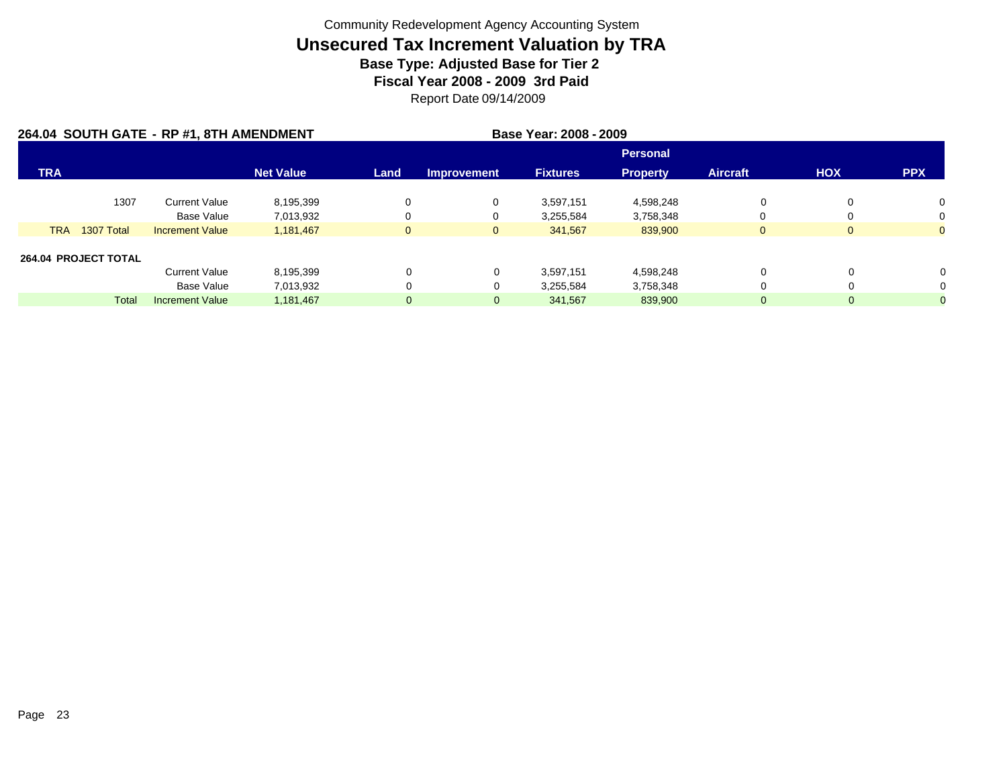|            |                      | 264.04 SOUTH GATE - RP #1, 8TH AMENDMENT |                  |              |                    |                 |                 |                 |              |                |
|------------|----------------------|------------------------------------------|------------------|--------------|--------------------|-----------------|-----------------|-----------------|--------------|----------------|
|            |                      |                                          |                  |              |                    |                 | <b>Personal</b> |                 |              |                |
| <b>TRA</b> |                      |                                          | <b>Net Value</b> | Land         | <b>Improvement</b> | <b>Fixtures</b> | <b>Property</b> | <b>Aircraft</b> | <b>HOX</b>   | <b>PPX</b>     |
|            | 1307                 | <b>Current Value</b>                     | 8,195,399        | 0            | 0                  | 3,597,151       | 4,598,248       | 0               | $\Omega$     | 0              |
|            |                      | Base Value                               | 7,013,932        | 0            | 0                  | 3,255,584       | 3,758,348       |                 |              | 0              |
| <b>TRA</b> | 1307 Total           | <b>Increment Value</b>                   | 1,181,467        | $\mathbf{0}$ | $\overline{0}$     | 341.567         | 839,900         | $\Omega$        | $\mathbf{0}$ | $\overline{0}$ |
|            | 264.04 PROJECT TOTAL |                                          |                  |              |                    |                 |                 |                 |              |                |
|            |                      | <b>Current Value</b>                     | 8,195,399        | 0            | 0                  | 3,597,151       | 4,598,248       | 0               |              | $\Omega$       |
|            |                      | Base Value                               | 7,013,932        | 0            | 0                  | 3,255,584       | 3,758,348       | 0               |              |                |
|            | <b>Total</b>         | <b>Increment Value</b>                   | 1,181,467        | $\mathbf{0}$ | $\mathbf{0}$       | 341,567         | 839,900         | 0               | 0            |                |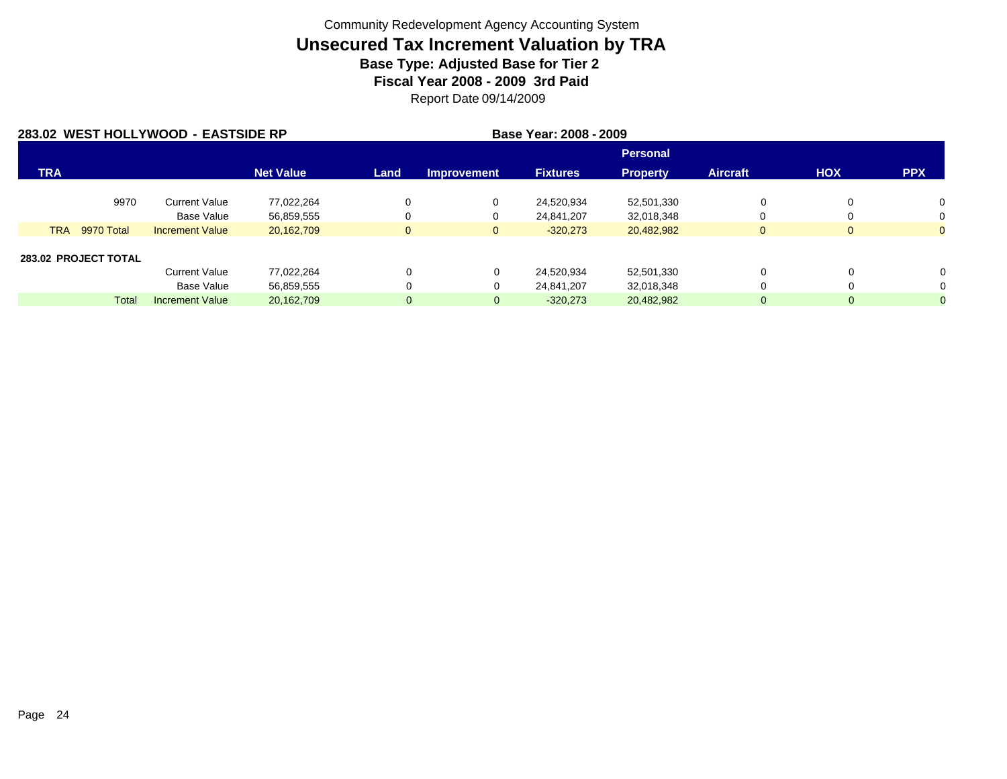|            |                      | 283.02 WEST HOLLYWOOD - EASTSIDE RP |                  | Base Year: 2008 - 2009 |                    |                 |                 |                 |              |              |
|------------|----------------------|-------------------------------------|------------------|------------------------|--------------------|-----------------|-----------------|-----------------|--------------|--------------|
|            |                      |                                     |                  |                        |                    |                 | <b>Personal</b> |                 |              |              |
| <b>TRA</b> |                      |                                     | <b>Net Value</b> | Land                   | <b>Improvement</b> | <b>Fixtures</b> | <b>Property</b> | <b>Aircraft</b> | <b>HOX</b>   | <b>PPX</b>   |
|            | 9970                 | <b>Current Value</b>                | 77.022.264       | 0                      | 0                  | 24.520.934      | 52,501,330      | 0               | 0            | 0            |
|            |                      | <b>Base Value</b>                   | 56,859,555       | 0                      | 0                  | 24,841,207      | 32,018,348      | $\Omega$        | 0            | 0            |
| <b>TRA</b> | 9970 Total           | <b>Increment Value</b>              | 20,162,709       | $\mathbf{0}$           | $\mathbf{0}$       | $-320,273$      | 20,482,982      | $\mathbf{0}$    | $\mathbf{0}$ | $\Omega$     |
|            | 283.02 PROJECT TOTAL |                                     |                  |                        |                    |                 |                 |                 |              |              |
|            |                      | <b>Current Value</b>                | 77,022,264       | 0                      | 0                  | 24,520,934      | 52,501,330      | 0               | 0            | 0            |
|            |                      | <b>Base Value</b>                   | 56,859,555       | 0                      | 0                  | 24.841.207      | 32,018,348      | 0               | 0            | 0            |
|            | <b>Total</b>         | <b>Increment Value</b>              | 20,162,709       | $\mathbf{0}$           | $\mathbf{0}$       | $-320,273$      | 20,482,982      | 0               | 0            | $\mathbf{0}$ |